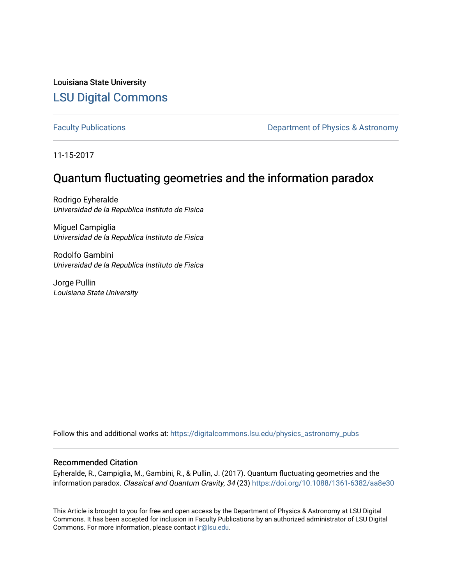Louisiana State University [LSU Digital Commons](https://digitalcommons.lsu.edu/)

[Faculty Publications](https://digitalcommons.lsu.edu/physics_astronomy_pubs) **Exercise 2 and Table 2 and Table 2 and Table 2 and Table 2 and Table 2 and Table 2 and Table 2 and Table 2 and Table 2 and Table 2 and Table 2 and Table 2 and Table 2 and Table 2 and Table 2 and Table** 

11-15-2017

# Quantum fluctuating geometries and the information paradox

Rodrigo Eyheralde Universidad de la Republica Instituto de Fisica

Miguel Campiglia Universidad de la Republica Instituto de Fisica

Rodolfo Gambini Universidad de la Republica Instituto de Fisica

Jorge Pullin Louisiana State University

Follow this and additional works at: [https://digitalcommons.lsu.edu/physics\\_astronomy\\_pubs](https://digitalcommons.lsu.edu/physics_astronomy_pubs?utm_source=digitalcommons.lsu.edu%2Fphysics_astronomy_pubs%2F4316&utm_medium=PDF&utm_campaign=PDFCoverPages) 

# Recommended Citation

Eyheralde, R., Campiglia, M., Gambini, R., & Pullin, J. (2017). Quantum fluctuating geometries and the information paradox. Classical and Quantum Gravity, 34 (23) <https://doi.org/10.1088/1361-6382/aa8e30>

This Article is brought to you for free and open access by the Department of Physics & Astronomy at LSU Digital Commons. It has been accepted for inclusion in Faculty Publications by an authorized administrator of LSU Digital Commons. For more information, please contact [ir@lsu.edu](mailto:ir@lsu.edu).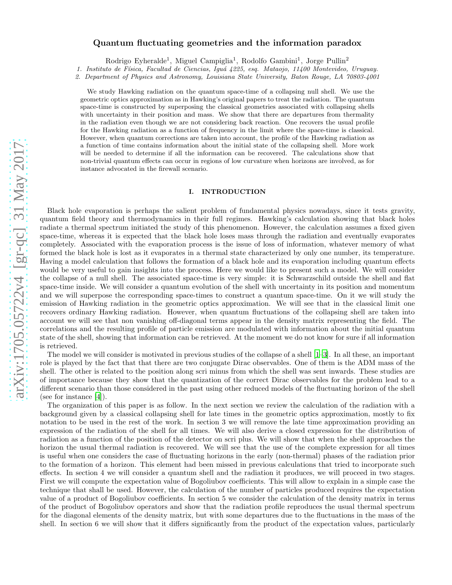## Quantum fluctuating geometries and the information paradox

Rodrigo Eyheralde<sup>1</sup>, Miguel Campiglia<sup>1</sup>, Rodolfo Gambini<sup>1</sup>, Jorge Pullin<sup>2</sup>

1. Instituto de F´ısica, Facultad de Ciencias, Igu´a 4225, esq. Mataojo, 11400 Montevideo, Uruguay.

2. Department of Physics and Astronomy, Louisiana State University, Baton Rouge, LA 70803-4001

We study Hawking radiation on the quantum space-time of a collapsing null shell. We use the geometric optics approximation as in Hawking's original papers to treat the radiation. The quantum space-time is constructed by superposing the classical geometries associated with collapsing shells with uncertainty in their position and mass. We show that there are departures from thermality in the radiation even though we are not considering back reaction. One recovers the usual profile for the Hawking radiation as a function of frequency in the limit where the space-time is classical. However, when quantum corrections are taken into account, the profile of the Hawking radiation as a function of time contains information about the initial state of the collapsing shell. More work will be needed to determine if all the information can be recovered. The calculations show that non-trivial quantum effects can occur in regions of low curvature when horizons are involved, as for instance advocated in the firewall scenario.

## I. INTRODUCTION

Black hole evaporation is perhaps the salient problem of fundamental physics nowadays, since it tests gravity, quantum field theory and thermodynamics in their full regimes. Hawking's calculation showing that black holes radiate a thermal spectrum initiated the study of this phenomenon. However, the calculation assumes a fixed given space-time, whereas it is expected that the black hole loses mass through the radiation and eventually evaporates completely. Associated with the evaporation process is the issue of loss of information, whatever memory of what formed the black hole is lost as it evaporates in a thermal state characterized by only one number, its temperature. Having a model calculation that follows the formation of a black hole and its evaporation including quantum effects would be very useful to gain insights into the process. Here we would like to present such a model. We will consider the collapse of a null shell. The associated space-time is very simple: it is Schwarzschild outside the shell and flat space-time inside. We will consider a quantum evolution of the shell with uncertainty in its position and momentum and we will superpose the corresponding space-times to construct a quantum space-time. On it we will study the emission of Hawking radiation in the geometric optics approximation. We will see that in the classical limit one recovers ordinary Hawking radiation. However, when quantum fluctuations of the collapsing shell are taken into account we will see that non vanishing off-diagonal terms appear in the density matrix representing the field. The correlations and the resulting profile of particle emission are modulated with information about the initial quantum state of the shell, showing that information can be retrieved. At the moment we do not know for sure if all information is retrieved.

The model we will consider is motivated in previous studies of the collapse of a shell [\[1](#page-24-0)[–3\]](#page-24-1). In all these, an important role is played by the fact that that there are two conjugate Dirac observables. One of them is the ADM mass of the shell. The other is related to the position along scri minus from which the shell was sent inwards. These studies are of importance because they show that the quantization of the correct Dirac observables for the problem lead to a different scenario than those considered in the past using other reduced models of the fluctuating horizon of the shell (see for instance [\[4\]](#page-24-2)).

The organization of this paper is as follow. In the next section we review the calculation of the radiation with a background given by a classical collapsing shell for late times in the geometric optics approximation, mostly to fix notation to be used in the rest of the work. In section 3 we will remove the late time approximation providing an expression of the radiation of the shell for all times. We will also derive a closed expression for the distribution of radiation as a function of the position of the detector on scri plus. We will show that when the shell approaches the horizon the usual thermal radiation is recovered. We will see that the use of the complete expression for all times is useful when one considers the case of fluctuating horizons in the early (non-thermal) phases of the radiation prior to the formation of a horizon. This element had been missed in previous calculations that tried to incorporate such effects. In section 4 we will consider a quantum shell and the radiation it produces, we will proceed in two stages. First we will compute the expectation value of Bogoliubov coefficients. This will allow to explain in a simple case the technique that shall be used. However, the calculation of the number of particles produced requires the expectation value of a product of Bogoliubov coefficients. In section 5 we consider the calculation of the density matrix in terms of the product of Bogoliubov operators and show that the radiation profile reproduces the usual thermal spectrum for the diagonal elements of the density matrix, but with some departures due to the fluctuations in the mass of the shell. In section 6 we will show that it differs significantly from the product of the expectation values, particularly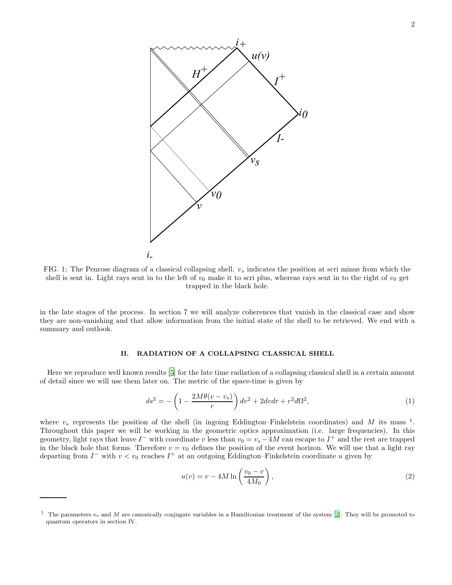

FIG. 1: The Penrose diagram of a classical collapsing shell.  $v_s$  indicates the position at scri minus from which the shell is sent in. Light rays sent in to the left of  $v_0$  make it to scriplus, whereas rays sent in to the right of  $v_0$  get trapped in the black hole.

in the late stages of the process. In section 7 we will analyze coherences that vanish in the classical case and show they are non-vanishing and that allow information from the initial state of the shell to be retrieved. We end with a summary and outlook.

## II. RADIATION OF A COLLAPSING CLASSICAL SHELL

Here we reproduce well known results [\[5\]](#page-24-3) for the late time radiation of a collapsing classical shell in a certain amount of detail since we will use them later on. The metric of the space-time is given by

$$
ds^{2} = -\left(1 - \frac{2M\theta(v - v_{s})}{r}\right)dv^{2} + 2dvdr + r^{2}d\Omega^{2},
$$
\n(1)

where  $v_s$  represents the position of the shell (in ingoing Eddington–Finkelstein coordinates) and M its mass <sup>1</sup>. Throughout this paper we will be working in the geometric optics approximation (i.e. large frequencies). In this geometry, light rays that leave  $I^-$  with coordinate v less than  $v_0 = v_s - 4M$  can escape to  $I^+$  and the rest are trapped in the black hole that forms. Therefore  $v = v_0$  defines the position of the event horizon. We will use that a light ray departing from  $I^-$  with  $v < v_0$  reaches  $I^+$  at an outgoing Eddington–Finkelstein coordinate u given by

$$
u(v) = v - 4M \ln\left(\frac{v_0 - v}{4M_0}\right),\tag{2}
$$

<sup>&</sup>lt;sup>1</sup> The parameters  $v_s$  and M are canonically conjugate variables in a Hamiltonian treatment of the system [\[2](#page-24-4)]. They will be promoted to quantum operators in section IV.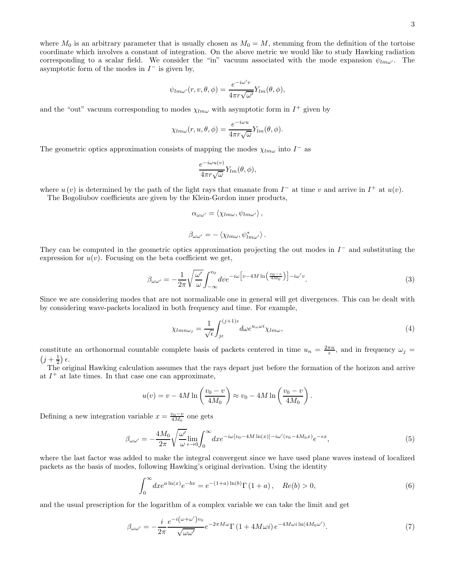where  $M_0$  is an arbitrary parameter that is usually chosen as  $M_0 = M$ , stemming from the definition of the tortoise coordinate which involves a constant of integration. On the above metric we would like to study Hawking radiation corresponding to a scalar field. We consider the "in" vacuum associated with the mode expansion  $\psi_{lm\omega'}$ . The asymptotic form of the modes in  $I^-$  is given by,

$$
\psi_{lm\omega'}(r, v, \theta, \phi) = \frac{e^{-i\omega'v}}{4\pi r \sqrt{\omega'}} Y_{lm}(\theta, \phi),
$$

and the "out" vacuum corresponding to modes  $\chi_{lm\omega}$  with asymptotic form in  $I^+$  given by

$$
\chi_{lm\omega}(r, u, \theta, \phi) = \frac{e^{-i\omega u}}{4\pi r \sqrt{\omega}} Y_{lm}(\theta, \phi).
$$

The geometric optics approximation consists of mapping the modes  $\chi_{lm\omega}$  into  $I^-$  as

$$
\frac{e^{-i\omega u(v)}}{4\pi r\sqrt{\omega}}Y_{lm}(\theta,\phi),
$$

where  $u(v)$  is determined by the path of the light rays that emanate from  $I^-$  at time v and arrive in  $I^+$  at  $u(v)$ . The Bogoliubov coefficients are given by the Klein-Gordon inner products,

$$
\alpha_{\omega\omega'} = \langle \chi_{lm\omega}, \psi_{lm\omega'} \rangle,
$$
  

$$
\beta_{\omega\omega'} = -\langle \chi_{lm\omega}, \psi_{lm\omega'}^* \rangle.
$$

They can be computed in the geometric optics approximation projecting the out modes in  $I^-$  and substituting the expression for  $u(v)$ . Focusing on the beta coefficient we get,

<span id="page-3-1"></span>
$$
\beta_{\omega\omega'} = -\frac{1}{2\pi} \sqrt{\frac{\omega'}{\omega}} \int_{-\infty}^{v_0} dv e^{-i\omega \left[v - 4M \ln\left(\frac{v_0 - v}{4M_0}\right)\right] - i\omega' v}.
$$
\n(3)

Since we are considering modes that are not normalizable one in general will get divergences. This can be dealt with by considering wave-packets localized in both frequency and time. For example,

$$
\chi_{lmn\omega_j} = \frac{1}{\sqrt{\epsilon}} \int_{j\epsilon}^{(j+1)\epsilon} d\omega e^{u_n \omega i} \chi_{lm\omega},\tag{4}
$$

constitute an orthonormal countable complete basis of packets centered in time  $u_n = \frac{2\pi n}{\epsilon}$ , and in frequency  $\omega_j = (i + \frac{1}{2}) \epsilon$ .  $j+\frac{1}{2}$ )  $\epsilon$ .

The original Hawking calculation assumes that the rays depart just before the formation of the horizon and arrive at  $I^+$  at late times. In that case one can approximate,

$$
u(v) = v - 4M \ln\left(\frac{v_0 - v}{4M_0}\right) \approx v_0 - 4M \ln\left(\frac{v_0 - v}{4M_0}\right).
$$

Defining a new integration variable  $x = \frac{v_0 - v}{4M_0}$  one gets

$$
\beta_{\omega\omega'} = -\frac{4M_0}{2\pi} \sqrt{\frac{\omega'}{\omega}} \lim_{\epsilon \to 0} \int_0^\infty dx e^{-i\omega[v_0 - 4M\ln(x)] - i\omega'(v_0 - 4M_0x)} e^{-\epsilon x},\tag{5}
$$

where the last factor was added to make the integral convergent since we have used plane waves instead of localized packets as the basis of modes, following Hawking's original derivation. Using the identity

<span id="page-3-0"></span>
$$
\int_0^\infty dx e^{a\ln(x)} e^{-bx} = e^{-(1+a)\ln(b)} \Gamma(1+a), \quad Re(b) > 0,
$$
\n(6)

and the usual prescription for the logarithm of a complex variable we can take the limit and get

$$
\beta_{\omega\omega'} = -\frac{i}{2\pi} \frac{e^{-i(\omega + \omega')}v_0}{\sqrt{\omega\omega'}} e^{-2\pi M\omega} \Gamma\left(1 + 4M\omega i\right) e^{-4M\omega i \ln(4M_0\omega')}.
$$
\n<sup>(7)</sup>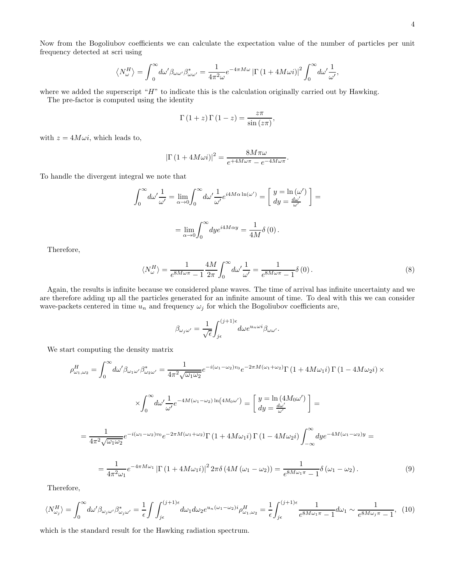$$
\left\langle N^H_{\omega} \right\rangle = \int_0^{\infty} d\omega' \beta_{\omega \omega'} \beta_{\omega \omega'}^* = \frac{1}{4\pi^2 \omega} e^{-4\pi M \omega} \left| \Gamma \left( 1 + 4M \omega i \right) \right|^2 \int_0^{\infty} d\omega' \frac{1}{\omega'},
$$

where we added the superscript " $H$ " to indicate this is the calculation originally carried out by Hawking.

The pre-factor is computed using the identity

$$
\Gamma(1+z)\Gamma(1-z) = \frac{z\pi}{\sin(z\pi)},
$$

with  $z = 4M\omega i$ , which leads to,

$$
\left|\Gamma\left(1+4M\omega i\right)\right|^2 = \frac{8M\pi\omega}{e^{+4M\omega\pi} - e^{-4M\omega\pi}}.
$$

To handle the divergent integral we note that

$$
\int_0^\infty d\omega' \frac{1}{\omega'} = \lim_{\alpha \to 0} \int_0^\infty d\omega' \frac{1}{\omega'} e^{i4M\alpha \ln(\omega')} = \left[ \frac{y = \ln(\omega')}{dy = \frac{d\omega'}{\omega'}} \right] =
$$

$$
= \lim_{\alpha \to 0} \int_0^\infty dy e^{i4M\alpha y} = \frac{1}{4M} \delta(0).
$$

Therefore,

$$
\langle N^H_{\omega} \rangle = \frac{1}{e^{8M\omega\pi} - 1} \frac{4M}{2\pi} \int_0^{\infty} d\omega' \frac{1}{\omega'} = \frac{1}{e^{8M\omega\pi} - 1} \delta(0). \tag{8}
$$

Again, the results is infinite because we considered plane waves. The time of arrival has infinite uncertainty and we are therefore adding up all the particles generated for an infinite amount of time. To deal with this we can consider wave-packets centered in time  $u_n$  and frequency  $\omega_j$  for which the Bogoliubov coefficients are,

$$
\beta_{\omega_j\omega'}=\frac{1}{\sqrt{\epsilon}}\int_{j\epsilon}^{(j+1)\epsilon}d\omega e^{u_n\omega i}\beta_{\omega\omega'}.
$$

We start computing the density matrix

$$
\rho_{\omega_1,\omega_2}^H = \int_0^\infty d\omega' \beta_{\omega_1 \omega'} \beta_{\omega_2 \omega'}^* = \frac{1}{4\pi^2 \sqrt{\omega_1 \omega_2}} e^{-i(\omega_1 - \omega_2)v_0} e^{-2\pi M(\omega_1 + \omega_2)} \Gamma(1 + 4M\omega_1 i) \Gamma(1 - 4M\omega_2 i) \times
$$
  

$$
\times \int_0^\infty d\omega' \frac{1}{\omega'} e^{-4M(\omega_1 - \omega_2) \ln(4M_0 \omega')} = \left[ y = \ln(4M_0 \omega') \right] =
$$
  

$$
= \frac{1}{4\pi^2 \sqrt{\omega_1 \omega_2}} e^{-i(\omega_1 - \omega_2)v_0} e^{-2\pi M(\omega_1 + \omega_2)} \Gamma(1 + 4M\omega_1 i) \Gamma(1 - 4M\omega_2 i) \int_{-\infty}^\infty dye^{-4M(\omega_1 - \omega_2)y} =
$$
  

$$
= \frac{1}{4\pi^2 \omega_1} e^{-4\pi M \omega_1} |\Gamma(1 + 4M\omega_1 i)|^2 2\pi \delta(4M(\omega_1 - \omega_2)) = \frac{1}{e^{8M\omega_1 \pi} - 1} \delta(\omega_1 - \omega_2).
$$
 (9)

Therefore,

$$
\langle N_{\omega_j}^H \rangle = \int_0^\infty d\omega' \beta_{\omega_j \omega'} \beta_{\omega_j \omega'}^* = \frac{1}{\epsilon} \int \int_{j\epsilon}^{(j+1)\epsilon} d\omega_1 d\omega_2 e^{u_n(\omega_1 - \omega_2)i} \rho_{\omega_1, \omega_2}^H = \frac{1}{\epsilon} \int_{j\epsilon}^{(j+1)\epsilon} \frac{1}{e^{8M\omega_1 \pi} - 1} d\omega_1 \sim \frac{1}{e^{8M\omega_j \pi} - 1}, \tag{10}
$$

which is the standard result for the Hawking radiation spectrum.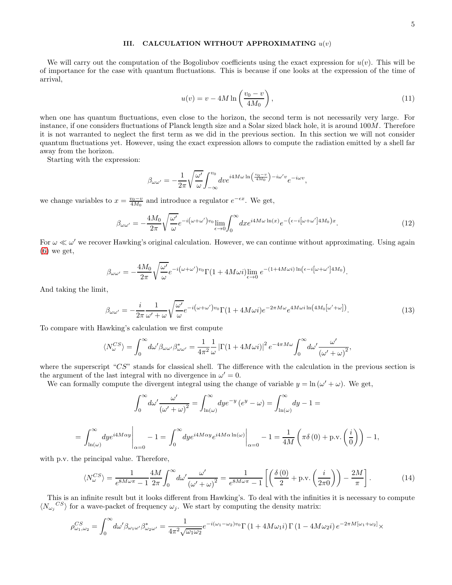## III. CALCULATION WITHOUT APPROXIMATING  $u(v)$

We will carry out the computation of the Bogoliubov coefficients using the exact expression for  $u(v)$ . This will be of importance for the case with quantum fluctuations. This is because if one looks at the expression of the time of arrival,

$$
u(v) = v - 4M \ln\left(\frac{v_0 - v}{4M_0}\right),\tag{11}
$$

when one has quantum fluctuations, even close to the horizon, the second term is not necessarily very large. For instance, if one considers fluctuations of Planck length size and a Solar sized black hole, it is around 100M. Therefore it is not warranted to neglect the first term as we did in the previous section. In this section we will not consider quantum fluctuations yet. However, using the exact expression allows to compute the radiation emitted by a shell far away from the horizon.

Starting with the expression:

$$
\beta_{\omega\omega'} = -\frac{1}{2\pi} \sqrt{\frac{\omega'}{\omega}} \int_{-\infty}^{v_0} dv e^{i4M\omega \ln\left(\frac{v_0 - v}{4M_0}\right) - i\omega' v} e^{-i\omega v},
$$

we change variables to  $x = \frac{v_0 - v}{4M_0}$  and introduce a regulator  $e^{-\epsilon x}$ . We get,

<span id="page-5-0"></span>
$$
\beta_{\omega\omega'} = -\frac{4M_0}{2\pi} \sqrt{\frac{\omega'}{\omega}} e^{-i(\omega + \omega')v_0} \lim_{\epsilon \to 0} \int_0^\infty dx e^{i4M\omega \ln(x)} e^{-\left(\epsilon - i\left[\omega + \omega'\right]4M_0\right)x}.\tag{12}
$$

For  $\omega \ll \omega'$  we recover Hawking's original calculation. However, we can continue without approximating. Using again [\(6\)](#page-3-0) we get,

$$
\beta_{\omega\omega'} = -\frac{4M_0}{2\pi} \sqrt{\frac{\omega'}{\omega}} e^{-i(\omega + \omega')v_0} \Gamma(1 + 4M\omega i) \lim_{\epsilon \to 0} e^{-(1 + 4M\omega i) \ln(\epsilon - i[\omega + \omega']4M_0)}.
$$

And taking the limit,

$$
\beta_{\omega\omega'} = -\frac{i}{2\pi} \frac{1}{\omega' + \omega} \sqrt{\frac{\omega'}{\omega}} e^{-i(\omega + \omega')v_0} \Gamma(1 + 4M\omega i) e^{-2\pi M\omega} e^{4M\omega i \ln(4M_0[\omega' + \omega])}.
$$
\n(13)

To compare with Hawking's calculation we first compute

$$
\langle N^{CS}_\omega \rangle = \int_0^\infty \! d\omega' \beta_{\omega\omega'} \beta^*_{\omega\omega'} = \frac{1}{4\pi^2} \frac{1}{\omega} \left| \Gamma(1+4M\omega i) \right|^2 e^{-4\pi M \omega} \! \int_0^\infty \! d\omega' \frac{\omega'}{\left(\omega'+\omega\right)^2},
$$

where the superscript "CS" stands for classical shell. The difference with the calculation in the previous section is the argument of the last integral with no divergence in  $\omega' = 0$ .

We can formally compute the divergent integral using the change of variable  $y = \ln(\omega' + \omega)$ . We get,

$$
\int_0^\infty d\omega' \frac{\omega'}{(\omega' + \omega)^2} = \int_{\ln(\omega)}^\infty dye^{-y} (e^y - \omega) = \int_{\ln(\omega)}^\infty dy - 1 =
$$

$$
= \int_{\ln(\omega)}^\infty dye^{i4M\alpha y} \Big|_{\alpha=0} - 1 = \int_0^\infty dye^{i4M\alpha y} e^{i4M\alpha \ln(\omega)} \Big|_{\alpha=0} - 1 = \frac{1}{4M} \left( \pi \delta(0) + \text{p.v.} \left( \frac{i}{0} \right) \right) - 1,
$$

with p.v. the principal value. Therefore,

<span id="page-5-1"></span>
$$
\langle N_{\omega}^{CS} \rangle = \frac{1}{e^{8M\omega\pi} - 1} \frac{4M}{2\pi} \int_0^{\infty} d\omega' \frac{\omega'}{(\omega' + \omega)^2} = \frac{1}{e^{8M\omega\pi} - 1} \left[ \left( \frac{\delta(0)}{2} + \text{p.v.} \left( \frac{i}{2\pi 0} \right) \right) - \frac{2M}{\pi} \right].
$$
 (14)

This is an infinite result but it looks different from Hawking's. To deal with the infinities it is necessary to compute  $\langle N_{\omega_j}{}^{CS}\rangle$  for a wave-packet of frequency  $\omega_j$ . We start by computing the density matrix:

$$
\rho^{CS}_{\omega_1,\omega_2} = \int_0^\infty d\omega' \beta_{\omega_1 \omega'} \beta_{\omega_2 \omega'}^* = \frac{1}{4\pi^2 \sqrt{\omega_1 \omega_2}} e^{-i(\omega_1 - \omega_2)v_0} \Gamma\left(1 + 4M\omega_1 i\right) \Gamma\left(1 - 4M\omega_2 i\right) e^{-2\pi M[\omega_1 + \omega_2]} \times
$$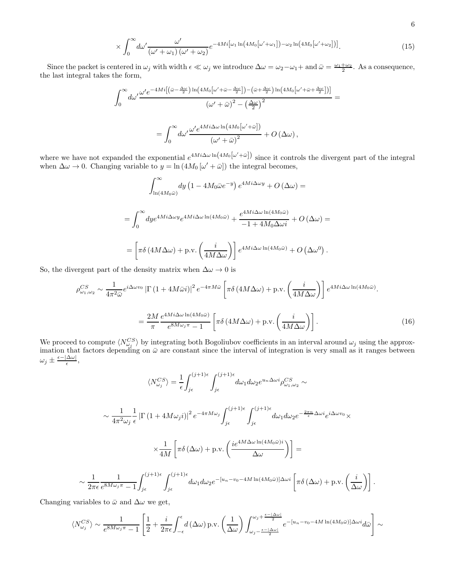<span id="page-6-0"></span>
$$
\times \int_0^\infty d\omega' \frac{\omega'}{(\omega' + \omega_1)(\omega' + \omega_2)} e^{-4Mi[\omega_1 \ln(4M_0[\omega' + \omega_1]) - \omega_2 \ln(4M_0[\omega' + \omega_2])]}.
$$
\n(15)

Since the packet is centered in  $\omega_j$  with width  $\epsilon \ll \omega_j$  we introduce  $\Delta \omega = \omega_2 - \omega_1 +$  and  $\bar{\omega} = \frac{\omega_1 + \omega_2}{2}$ . As a consequence, the last integral takes the form,

$$
\int_0^\infty d\omega' \frac{\omega' e^{-4Mi\left[\left(\bar{\omega} - \frac{\Delta\omega}{2}\right)\ln\left(4M_0\left[\omega' + \bar{\omega} - \frac{\Delta\omega}{2}\right]\right) - \left(\bar{\omega} + \frac{\Delta\omega}{2}\right)\ln\left(4M_0\left[\omega' + \bar{\omega} + \frac{\Delta\omega}{2}\right]\right)\right]}}{\left(\omega' + \bar{\omega}\right)^2 - \left(\frac{\Delta\omega}{2}\right)^2} =
$$

$$
= \int_0^\infty d\omega' \frac{\omega' e^{4Mi\Delta\omega\ln\left(4M_0\left[\omega' + \bar{\omega}\right]\right)}}{\left(\omega' + \bar{\omega}\right)^2} + O\left(\Delta\omega\right),
$$

where we have not expanded the exponential  $e^{4Mi\Delta\omega \ln(4M_0[\omega'+\bar{\omega}])}$  since it controls the divergent part of the integral when  $\Delta \omega \to 0$ . Changing variable to  $y = \ln(4M_0 \left[ \omega' + \bar{\omega} \right])$  the integral becomes,

$$
\int_{\ln(4M_0\bar{\omega})}^{\infty} dy \left(1 - 4M_0\bar{\omega}e^{-y}\right) e^{4Mi\Delta\omega y} + O\left(\Delta\omega\right) =
$$
\n
$$
= \int_0^{\infty} dy e^{4Mi\Delta\omega y} e^{4Mi\Delta\omega \ln(4M_0\bar{\omega})} + \frac{e^{4Mi\Delta\omega \ln(4M_0\bar{\omega})}}{-1 + 4M_0\Delta\omega i} + O\left(\Delta\omega\right) =
$$
\n
$$
= \left[\pi\delta\left(4M\Delta\omega\right) + \text{p.v.}\left(\frac{i}{4M\Delta\omega}\right)\right] e^{4Mi\Delta\omega \ln(4M_0\bar{\omega})} + O\left(\Delta\omega^0\right).
$$

So, the divergent part of the density matrix when  $\Delta \omega \to 0$  is

$$
\rho_{\omega_1,\omega_2}^{CS} \sim \frac{1}{4\pi^2 \bar{\omega}} e^{i\Delta\omega v_0} \left| \Gamma\left(1 + 4M\bar{\omega}i\right) \right|^2 e^{-4\pi M\bar{\omega}} \left[ \pi \delta \left(4M\Delta\omega\right) + \text{p.v.} \left(\frac{i}{4M\Delta\omega} \right) \right] e^{4Mi\Delta\omega \ln(4M_0\bar{\omega})}.
$$

$$
= \frac{2M}{\pi} \frac{e^{4Mi\Delta\omega \ln(4M_0\bar{\omega})}}{e^{8M\omega_j\pi} - 1} \left[ \pi \delta \left(4M\Delta\omega\right) + \text{p.v.} \left(\frac{i}{4M\Delta\omega} \right) \right]. \tag{16}
$$

We proceed to compute  $\langle N_{\omega_j}^{CS} \rangle$  by integrating both Bogoliubov coefficients in an interval around  $\omega_j$  using the approximation that factors depending on  $\bar{\omega}$  are constant since the interval of integration is very small as it ranges between  $\omega_j \pm \frac{\epsilon - |\Delta \omega|}{\epsilon},$ 

$$
\langle N_{\omega_{j}}^{CS} \rangle = \frac{1}{\epsilon} \int_{j\epsilon}^{(j+1)\epsilon} \int_{j\epsilon}^{(j+1)\epsilon} d\omega_{1} d\omega_{2} e^{u_{n}\Delta\omega i} \rho_{\omega_{1},\omega_{2}}^{CS} \sim
$$
  

$$
\sim \frac{1}{4\pi^{2} \omega_{j}} \frac{1}{\epsilon} \left| \Gamma(1 + 4M\omega_{j}i) \right|^{2} e^{-4\pi M \omega_{j}} \int_{j\epsilon}^{(j+1)\epsilon} \int_{j\epsilon}^{(j+1)\epsilon} d\omega_{1} d\omega_{2} e^{-\frac{2\pi n}{\epsilon} \Delta\omega i} e^{i\Delta\omega v_{0}} \times
$$
  

$$
\times \frac{1}{4M} \left[ \pi \delta(\Delta\omega) + \text{p.v.} \left( \frac{ie^{4M\Delta\omega \ln(4M_{0}\bar{\omega})i}}{\Delta\omega} \right) \right] =
$$
  

$$
\frac{1}{2\pi\epsilon} \frac{1}{e^{8M\omega_{j}\pi} - 1} \int_{j\epsilon}^{(j+1)\epsilon} \int_{j\epsilon}^{(j+1)\epsilon} d\omega_{1} d\omega_{2} e^{-[u_{n} - v_{0} - 4M \ln(4M_{0}\bar{\omega})] \Delta\omega i} \left[ \pi \delta(\Delta\omega) + \text{p.v.} \left( \frac{i}{\Delta\omega} \right) \right].
$$

Changing variables to  $\bar{\omega}$  and  $\Delta \omega$  we get,

∼

$$
\langle N_{\omega_j}^{CS} \rangle \sim \frac{1}{e^{8M\omega_j \pi} - 1} \left[ \frac{1}{2} + \frac{i}{2\pi\epsilon} \int_{-\epsilon}^{\epsilon} d\left(\Delta \omega\right) \text{p.v.}\left(\frac{1}{\Delta \omega}\right) \int_{\omega_j - \frac{\epsilon - |\Delta \omega|}{2}}^{\omega_j + \frac{\epsilon - |\Delta \omega|}{2}} e^{-\left[u_n - v_0 - 4M\ln(4M_0\bar{\omega})\right]\Delta \omega i} d\bar{\omega} \right] \sim
$$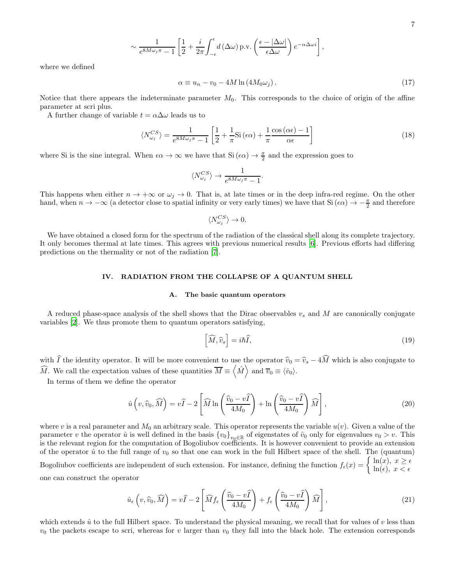$$
\sim \frac{1}{e^{8M\omega_j \pi} - 1} \left[ \frac{1}{2} + \frac{i}{2\pi} \int_{-\epsilon}^{\epsilon} d(\Delta \omega) \, \text{p.v.} \left( \frac{\epsilon - |\Delta \omega|}{\epsilon \Delta \omega} \right) e^{-\alpha \Delta \omega i} \right],
$$

where we defined

<span id="page-7-0"></span>
$$
\alpha \equiv u_n - v_0 - 4M \ln \left( 4M_0 \omega_j \right). \tag{17}
$$

Notice that there appears the indeterminate parameter  $M_0$ . This corresponds to the choice of origin of the affine parameter at scri plus.

A further change of variable  $t = \alpha \Delta \omega$  leads us to

$$
\langle N_{\omega_j}^{CS} \rangle = \frac{1}{e^{8M\omega_j \pi} - 1} \left[ \frac{1}{2} + \frac{1}{\pi} \text{Si}(\epsilon \alpha) + \frac{1}{\pi} \frac{\cos(\alpha \epsilon) - 1}{\alpha \epsilon} \right]
$$
(18)

where Si is the sine integral. When  $\epsilon \alpha \to \infty$  we have that  $\mathrm{Si}(\epsilon \alpha) \to \frac{\pi}{2}$  and the expression goes to

$$
\langle N_{\omega_j}^{CS} \rangle \to \frac{1}{e^{8M\omega_j \pi} - 1}.
$$

This happens when either  $n \to +\infty$  or  $\omega_j \to 0$ . That is, at late times or in the deep infra-red regime. On the other hand, when  $n \to -\infty$  (a detector close to spatial infinity or very early times) we have that Si  $(\epsilon \alpha) \to -\frac{\pi}{2}$  and therefore

$$
\langle N_{\omega_j}^{CS} \rangle \to 0.
$$

We have obtained a closed form for the spectrum of the radiation of the classical shell along its complete trajectory. It only becomes thermal at late times. This agrees with previous numerical results [\[6\]](#page-24-5). Previous efforts had differing predictions on the thermality or not of the radiation [\[7\]](#page-24-6).

## IV. RADIATION FROM THE COLLAPSE OF A QUANTUM SHELL

#### A. The basic quantum operators

A reduced phase-space analysis of the shell shows that the Dirac observables  $v_s$  and M are canonically conjugate variables [\[2](#page-24-4)]. We thus promote them to quantum operators satisfying,

$$
\left[\widehat{M}, \widehat{v}_s\right] = i\hbar \widehat{I},\tag{19}
$$

with  $\widehat{I}$  the identity operator. It will be more convenient to use the operator  $\widehat{v}_0 = \widehat{v}_s - 4\widehat{M}$  which is also conjugate to  $\widehat{M}$ . We call the expectation values of these quantities  $\overline{M} \equiv \langle \hat{M} \rangle$  and  $\overline{v}_0 \equiv \langle \hat{v}_0 \rangle$ .

In terms of them we define the operator

$$
\hat{u}\left(v,\widehat{v}_0,\widehat{M}\right) = v\widehat{I} - 2\left[\widehat{M}\ln\left(\frac{\widehat{v}_0 - v\widehat{I}}{4M_0}\right) + \ln\left(\frac{\widehat{v}_0 - v\widehat{I}}{4M_0}\right)\widehat{M}\right],\tag{20}
$$

where v is a real parameter and  $M_0$  an arbitrary scale. This operator represents the variable  $u(v)$ . Given a value of the parameter v the operator  $\hat{u}$  is well defined in the basis  $\{v_0\}_{v_0\in\mathbb{R}}$  of eigenstates of  $\hat{v}_0$  only for eigenvalues  $v_0 > v$ . This is the relevant region for the computation of Bogoliubov coefficients. It is however convenient to provide an extension of the operator  $\hat{u}$  to the full range of  $v_0$  so that one can work in the full Hilbert space of the shell. The (quantum) Bogoliubov coefficients are independent of such extension. For instance, defining the function  $f_{\epsilon}(x) = \begin{cases} \ln(x), & x \geq \epsilon \\ \ln(\epsilon), & x < \epsilon \end{cases}$  $\ln(\epsilon)$ ,  $x < \epsilon$ one can construct the operator

$$
\hat{u}_{\epsilon}\left(v,\widehat{v}_{0},\widehat{M}\right)=v\widehat{I}-2\left[\widehat{M}f_{\epsilon}\left(\frac{\widehat{v}_{0}-v\widehat{I}}{4M_{0}}\right)+f_{\epsilon}\left(\frac{\widehat{v}_{0}-v\widehat{I}}{4M_{0}}\right)\widehat{M}\right],
$$
\n(21)

which extends  $\hat{u}$  to the full Hilbert space. To understand the physical meaning, we recall that for values of v less than  $v_0$  the packets escape to scri, whereas for v larger than  $v_0$  they fall into the black hole. The extension corresponds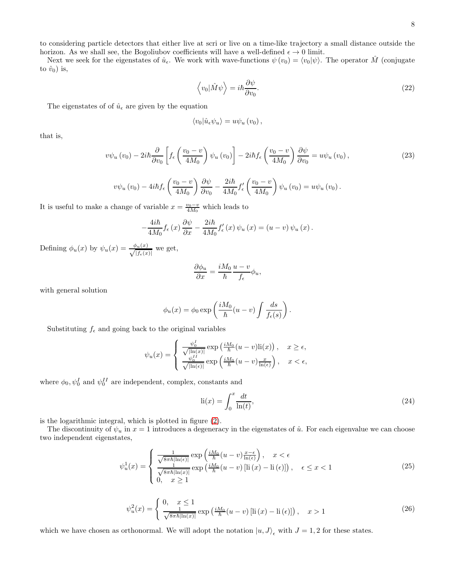to considering particle detectors that either live at scri or live on a time-like trajectory a small distance outside the horizon. As we shall see, the Bogoliubov coefficients will have a well-defined  $\epsilon \to 0$  limit.

Next we seek for the eigenstates of  $\hat{u}_{\epsilon}$ . We work with wave-functions  $\psi(v_0) = \langle v_0 | \psi \rangle$ . The operator  $\hat{M}$  (conjugate to  $\hat{v}_0$ ) is,

$$
\left\langle v_0 | \hat{M} \psi \right\rangle = i\hbar \frac{\partial \psi}{\partial v_0}.\tag{22}
$$

The eigenstates of of  $\hat{u}_{\epsilon}$  are given by the equation

$$
\langle v_0|\hat{u}_{\epsilon}\psi_u\rangle = u\psi_u\left(v_0\right),\,
$$

that is,

$$
v\psi_u(v_0) - 2i\hbar \frac{\partial}{\partial v_0} \left[ f_\epsilon \left( \frac{v_0 - v}{4M_0} \right) \psi_u(v_0) \right] - 2i\hbar f_\epsilon \left( \frac{v_0 - v}{4M_0} \right) \frac{\partial \psi}{\partial v_0} = u\psi_u(v_0), \tag{23}
$$

$$
v\psi_u(v_0) - 4i\hbar f_\epsilon \left(\frac{v_0 - v}{4M_0}\right) \frac{\partial \psi}{\partial v_0} - \frac{2i\hbar}{4M_0} f'_\epsilon \left(\frac{v_0 - v}{4M_0}\right) \psi_u(v_0) = u\psi_u(v_0).
$$

It is useful to make a change of variable  $x = \frac{v_0 - v}{4M_0}$  which leads to

$$
-\frac{4i\hbar}{4M_0}f_{\epsilon}(x)\frac{\partial\psi}{\partial x}-\frac{2i\hbar}{4M_0}f'_{\epsilon}(x)\psi_u(x)=(u-v)\psi_u(x).
$$

Defining  $\phi_u(x)$  by  $\psi_u(x) = \frac{\phi_u(x)}{\sqrt{f(x)}}$  $\frac{\partial u(x)}{|f_{\epsilon}(x)|}$  we get,

$$
\frac{\partial \phi_u}{\partial x} = \frac{iM_0}{\hbar} \frac{u - v}{f_\epsilon} \phi_u,
$$

with general solution

$$
\phi_u(x) = \phi_0 \exp\left(\frac{iM_0}{\hbar}(u-v)\int \frac{ds}{f_{\epsilon}(s)}\right).
$$

Substituting  $f_{\epsilon}$  and going back to the original variables

$$
\psi_u(x) = \begin{cases} \frac{\psi_0^I}{\sqrt{|\ln(x)|}} \exp\left(\frac{iM_0}{\hbar}(u-v) \text{li}(x)\right), & x \ge \epsilon, \\ \frac{\psi_0^{II}}{\sqrt{|\ln(\epsilon)|}} \exp\left(\frac{iM_0}{\hbar}(u-v)\frac{x}{\ln(\epsilon)}\right), & x < \epsilon, \end{cases}
$$

where  $\phi_0, \psi_0^I$  and  $\psi_0^{II}$  are independent, complex, constants and

$$
li(x) = \int_0^x \frac{dt}{\ln(t)},
$$
\n(24)

is the logarithmic integral, which is plotted in figure [\(2\)](#page-9-0).

The discontinuity of  $\psi_u$  in  $x = 1$  introduces a degeneracy in the eigenstates of  $\hat{u}$ . For each eigenvalue we can choose two independent eigenstates,

<span id="page-8-0"></span>
$$
\psi_u^1(x) = \begin{cases}\n\frac{1}{\sqrt{8\pi\hbar|\ln(\epsilon)|}} \exp\left(\frac{iM_0}{\hbar}(u-v)\frac{x-\epsilon}{\ln(\epsilon)}\right), & x < \epsilon \\
\frac{1}{\sqrt{8\pi\hbar|\ln(x)|}} \exp\left(\frac{iM_0}{\hbar}(u-v)\left[\text{li}\left(x\right)-\text{li}\left(\epsilon\right)\right]\right), & \epsilon \le x < 1 \\
0, & x \ge 1\n\end{cases} \tag{25}
$$

<span id="page-8-1"></span>
$$
\psi_u^2(x) = \begin{cases} 0, & x \le 1 \\ \frac{1}{\sqrt{8\pi\hbar|\ln(x)|}} \exp\left(\frac{iM_0}{\hbar}(u-v)\left[\ln(x) - \ln(\epsilon)\right]\right), & x > 1 \end{cases} \tag{26}
$$

which we have chosen as orthonormal. We will adopt the notation  $|u, J\rangle_{\epsilon}$  with  $J = 1, 2$  for these states.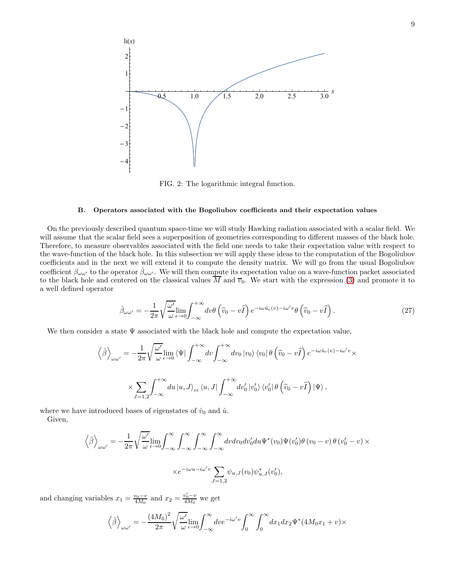

<span id="page-9-0"></span>FIG. 2: The logarithmic integral function.

#### B. Operators associated with the Bogoliubov coefficients and their expectation values

On the previously described quantum space-time we will study Hawking radiation associated with a scalar field. We will assume that the scalar field sees a superposition of geometries corresponding to different masses of the black hole. Therefore, to measure observables associated with the field one needs to take their expectation value with respect to the wave-function of the black hole. In this subsection we will apply these ideas to the computation of the Bogoliubov coefficients and in the next we will extend it to compute the density matrix. We will go from the usual Bogoliubov coefficient  $\beta_{\omega\omega'}$  to the operator  $\hat{\beta}_{\omega\omega'}$ . We will then compute its expectation value on a wave-function packet associated to the black hole and centered on the classical values  $\overline{M}$  and  $\overline{v}_0$ . We start with the expression [\(3\)](#page-3-1) and promote it to a well defined operator

<span id="page-9-1"></span>
$$
\hat{\beta}_{\omega\omega'} = -\frac{1}{2\pi} \sqrt{\frac{\omega'}{\omega}} \lim_{\epsilon \to 0} \int_{-\infty}^{+\infty} dv \theta \left(\hat{v}_0 - v\hat{I}\right) e^{-i\omega \hat{u}_\epsilon(v) - i\omega' v} \theta \left(\hat{v}_0 - v\hat{I}\right).
$$
\n(27)

We then consider a state  $\Psi$  associated with the black hole and compute the expectation value,

$$
\left\langle \hat{\beta} \right\rangle_{\omega\omega'} = -\frac{1}{2\pi} \sqrt{\frac{\omega'}{\omega}} \lim_{\epsilon \to 0} \left\langle \Psi \right| \int_{-\infty}^{+\infty} dv \int_{-\infty}^{+\infty} dv_0 \left| v_0 \right\rangle \left\langle v_0 \right| \theta \left( \hat{v}_0 - v \hat{I} \right) e^{-i\omega \hat{u}_{\epsilon}(v) - i\omega' v} \times \times \sum_{J=1,2} \int_{-\infty}^{+\infty} du \left| u, J \right\rangle_{\epsilon\epsilon} \left\langle u, J \right| \int_{-\infty}^{+\infty} dv'_0 \left| v'_0 \right\rangle \left\langle v'_0 \right| \theta \left( \hat{v}_0 - v \hat{I} \right) \left| \Psi \right\rangle,
$$

where we have introduced bases of eigenstates of  $\hat{v}_0$  and  $\hat{u}$ .

Given,

$$
\left\langle \hat{\beta} \right\rangle_{\omega\omega'} = -\frac{1}{2\pi} \sqrt{\frac{\omega'}{\omega}} \lim_{\epsilon \to 0} \int_{-\infty}^{\infty} \int_{-\infty}^{\infty} \int_{-\infty}^{\infty} \int_{-\infty}^{\infty} dv dv_0 dv_0' du \Psi^*(v_0) \Psi(v_0') \theta(v_0 - v) \theta(v_0' - v) \times \times e^{-i\omega u - i\omega' v} \sum_{J=1,2} \psi_{u,J}(v_0) \psi_{u,J}^*(v_0'),
$$

and changing variables  $x_1 = \frac{v_0 - v}{4M_0}$  and  $x_2 = \frac{v'_0 - v}{4M_0}$  we get

$$
\left\langle \hat{\beta} \right\rangle_{\omega\omega'} = -\frac{\left(4M_0\right)^2}{2\pi} \sqrt{\frac{\omega'}{\omega}} \lim_{\epsilon \to 0} \int_{-\infty}^{\infty} dv e^{-i\omega'v} \int_{0}^{\infty} \int_{0}^{\infty} dx_1 dx_2 \Psi^*(4M_0x_1 + v) \times
$$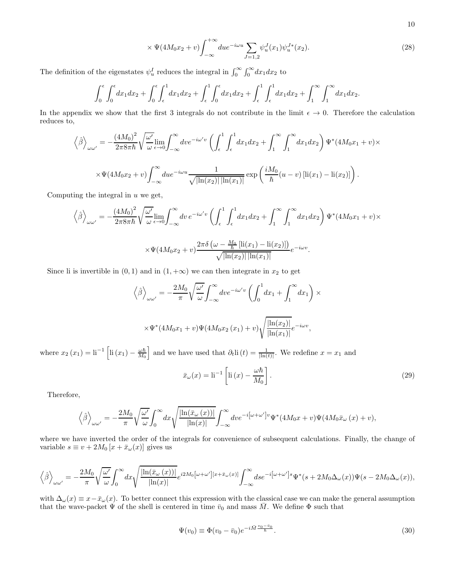<span id="page-10-1"></span>
$$
\times \Psi(4M_0x_2 + v) \int_{-\infty}^{+\infty} du e^{-i\omega u} \sum_{J=1,2} \psi_u^J(x_1) \psi_u^{J*}(x_2).
$$
 (28)

10

The definition of the eigenstates  $\psi_u^I$  reduces the integral in  $\int_0^\infty \int_0^\infty dx_1 dx_2$  to

$$
\int_0^{\epsilon} \int_0^{\epsilon} dx_1 dx_2 + \int_0^{\epsilon} \int_{\epsilon}^1 dx_1 dx_2 + \int_{\epsilon}^1 \int_0^{\epsilon} dx_1 dx_2 + \int_{\epsilon}^1 \int_{\epsilon}^1 dx_1 dx_2 + \int_1^{\infty} \int_1^{\infty} dx_1 dx_2.
$$

In the appendix we show that the first 3 integrals do not contribute in the limit  $\epsilon \to 0$ . Therefore the calculation reduces to,

$$
\left\langle \hat{\beta} \right\rangle_{\omega\omega'} = -\frac{(4M_0)^2}{2\pi 8\pi \hbar} \sqrt{\frac{\omega'}{\omega}} \lim_{\epsilon \to 0} \int_{-\infty}^{\infty} dv e^{-i\omega' v} \left( \int_{\epsilon}^{1} \int_{\epsilon}^{1} dx_1 dx_2 + \int_{1}^{\infty} \int_{1}^{\infty} dx_1 dx_2 \right) \Psi^*(4M_0x_1 + v) \times
$$
  
 
$$
\times \Psi(4M_0x_2 + v) \int_{-\infty}^{\infty} du e^{-i\omega u} \frac{1}{\sqrt{|\ln(x_2)| |\ln(x_1)|}} \exp\left( \frac{iM_0}{\hbar} (u - v) [\text{li}(x_1) - \text{li}(x_2)] \right).
$$

Computing the integral in  $u$  we get,

$$
\left\langle \hat{\beta} \right\rangle_{\omega\omega'} = -\frac{(4M_0)^2}{2\pi 8\pi \hbar} \sqrt{\frac{\omega'}{\omega}} \lim_{\epsilon \to 0} \int_{-\infty}^{\infty} dv \, e^{-i\omega' v} \left( \int_{\epsilon}^{1} \int_{\epsilon}^{1} dx_1 dx_2 + \int_{1}^{\infty} \int_{1}^{\infty} dx_1 dx_2 \right) \Psi^*(4M_0x_1 + v) \times
$$

$$
\times \Psi(4M_0x_2 + v) \frac{2\pi \delta \left( \omega - \frac{M_0}{\hbar} \left[ \text{li}(x_1) - \text{li}(x_2) \right] \right)}{\sqrt{\left| \text{ln}(x_2) \right| \left| \text{ln}(x_1) \right|}} e^{-i\omega v}.
$$

Since li is invertible in  $(0, 1)$  and in  $(1, +\infty)$  we can then integrate in  $x_2$  to get

$$
\langle \hat{\beta} \rangle_{\omega\omega'} = -\frac{2M_0}{\pi} \sqrt{\frac{\omega'}{\omega}} \int_{-\infty}^{\infty} dv e^{-i\omega'v} \left( \int_0^1 dx_1 + \int_1^{\infty} dx_1 \right) \times
$$
  
 
$$
\times \Psi^*(4M_0x_1 + v)\Psi(4M_0x_2(x_1) + v)\sqrt{\frac{|\ln(x_2)|}{|\ln(x_1)|}} e^{-i\omega v},
$$

where  $x_2(x_1) = \mathrm{li}^{-1} \left[ \mathrm{li} (x_1) - \frac{\omega \hbar}{M_0} \right]$ ] and we have used that  $\partial_t \text{li}(t) = \frac{1}{|\text{ln}(t)|}$ . We redefine  $x = x_1$  and

$$
\bar{x}_{\omega}(x) = \mathrm{li}^{-1} \left[ \mathrm{li} \left( x \right) - \frac{\omega \hbar}{M_0} \right]. \tag{29}
$$

Therefore,

$$
\left<\hat{\beta}\right>_{\omega\omega'} = -\frac{2M_0}{\pi} \sqrt{\frac{\omega'}{\omega}} \int_0^\infty dx \sqrt{\frac{|\ln(\bar{x}_\omega(x))|}{|\ln(x)|}} \int_{-\infty}^\infty dv e^{-i\left[\omega + \omega'\right]v} \Psi^*(4M_0x + v)\Psi(4M_0\bar{x}_\omega(x) + v),
$$

where we have inverted the order of the integrals for convenience of subsequent calculations. Finally, the change of variable  $s \equiv v + 2M_0 [x + \bar{x}_{\omega}(x)]$  gives us

$$
\left<\hat{\beta}\right>_{\omega\omega'}=-\frac{2M_0}{\pi}\sqrt{\frac{\omega'}{\omega}}\int_0^\infty dx \sqrt{\frac{|\ln(\bar{x}_\omega(x))|}{|\ln(x)|}}e^{i2M_0\left[\omega+\omega'\right][x+\bar{x}_\omega(x)]}\int_{-\infty}^\infty ds e^{-i\left[\omega+\omega'\right]s}\Psi^*(s+2M_0\Delta_\omega(x))\Psi(s-2M_0\Delta_\omega(x)),
$$

with  $\Delta_{\omega}(x) \equiv x - \bar{x}_{\omega}(x)$ . To better connect this expression with the classical case we can make the general assumption that the wave-packet  $\Psi$  of the shell is centered in time  $\bar{v}_0$  and mass  $\bar{M}$ . We define  $\Phi$  such that

<span id="page-10-0"></span>
$$
\Psi(v_0) \equiv \Phi(v_0 - \bar{v}_0) e^{-i\bar{M}\frac{v_0 - \bar{v}_0}{\hbar}}.
$$
\n
$$
(30)
$$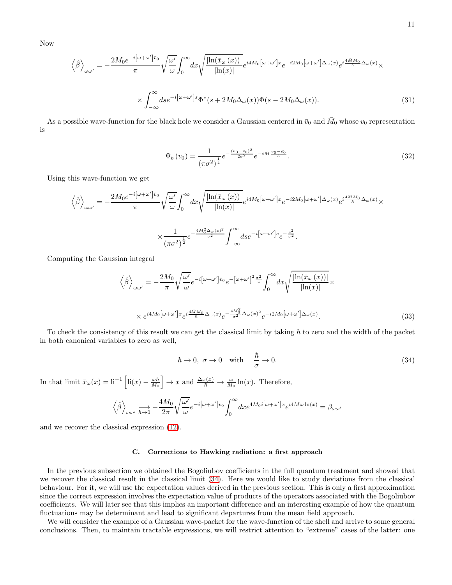Now

$$
\left\langle \hat{\beta} \right\rangle_{\omega\omega'} = -\frac{2M_0 e^{-i\left[\omega + \omega'\right]\bar{v}_0}}{\pi} \sqrt{\frac{\omega'}{\omega}} \int_0^\infty dx \sqrt{\frac{\left|\ln(\bar{x}_\omega(x))\right|}{\left|\ln(x)\right|}} e^{i4M_0\left[\omega + \omega'\right]x} e^{-i2M_0\left[\omega + \omega'\right]\Delta_\omega(x)} e^{i\frac{4\bar{M}M_0}{\hbar}\Delta_\omega(x)} \times \int_{-\infty}^\infty ds e^{-i\left[\omega + \omega'\right]s} \Phi^*(s + 2M_0\Delta_\omega(x)) \Phi(s - 2M_0\Delta_\omega(x)).
$$
\n(31)

As a possible wave-function for the black hole we consider a Gaussian centered in  $\bar{v}_0$  and  $\bar{M}_0$  whose  $v_0$  representation is

<span id="page-11-2"></span>
$$
\Psi_b(v_0) = \frac{1}{(\pi \sigma^2)^{\frac{1}{4}}} e^{-\frac{(v_0 - \bar{v}_0)^2}{2\sigma^2}} e^{-i\bar{M}\frac{v_0 - \bar{v_0}}{\hbar}}.
$$
\n(32)

Using this wave-function we get

$$
\left\langle \hat{\beta} \right\rangle_{\omega\omega'} = -\frac{2M_0 e^{-i\left[\omega + \omega'\right]\bar{v}_0}}{\pi} \sqrt{\frac{\omega'}{\omega}} \int_0^\infty dx \sqrt{\frac{\left|\ln(\bar{x}_\omega(x))\right|}{\left|\ln(x)\right|}} e^{i4M_0\left[\omega + \omega'\right]x} e^{-i2M_0\left[\omega + \omega'\right]\Delta_\omega(x)} e^{i\frac{4\bar{M}M_0}{\hbar}\Delta_\omega(x)} \times \frac{1}{\left(\pi\sigma^2\right)^{\frac{1}{2}}} e^{-\frac{4M_0^2\Delta_\omega(x)^2}{\sigma^2}} \int_{-\infty}^\infty ds e^{-i\left[\omega + \omega'\right]s} e^{-\frac{s^2}{\sigma^2}}.
$$

Computing the Gaussian integral

<span id="page-11-1"></span>
$$
\left\langle \hat{\beta} \right\rangle_{\omega\omega'} = -\frac{2M_0}{\pi} \sqrt{\frac{\omega'}{\omega}} e^{-i\left[\omega + \omega'\right]\bar{v}_0} e^{-\left[\omega + \omega'\right]^2 \frac{\sigma^2}{4}} \int_0^\infty dx \sqrt{\frac{\left|\ln(\bar{x}_\omega(x))\right|}{\left|\ln(x)\right|}} \times
$$
  
 
$$
\times e^{i4M_0\left[\omega + \omega'\right]x} e^{i\frac{4\bar{M}M_0}{\hbar}\Delta_\omega(x)} e^{-\frac{4M_0^2}{\sigma^2}\Delta_\omega(x)^2} e^{-i2M_0\left[\omega + \omega'\right]\Delta_\omega(x)}.
$$
 (33)

To check the consistency of this result we can get the classical limit by taking  $\hbar$  to zero and the width of the packet in both canonical variables to zero as well,

<span id="page-11-0"></span>
$$
\hbar \to 0, \ \sigma \to 0 \quad \text{with} \quad \frac{\hbar}{\sigma} \to 0. \tag{34}
$$

In that limit  $\bar{x}_{\omega}(x) = \mathrm{li}^{-1} \left[ \mathrm{li}(x) - \frac{\omega \hbar}{M_0} \right]$  $\Big] \to x$  and  $\frac{\Delta_{\omega}(x)}{\hbar} \to \frac{\omega}{M_0} \ln(x)$ . Therefore,

$$
\Big<{\hat{\beta}}\Big>_{\omega\omega'}\underset{\hbar\rightarrow 0}{\longrightarrow}-\frac{4M_0}{2\pi}\sqrt{\frac{\omega'}{\omega}}e^{-i\left[\omega+\omega'\right]\bar{v_0}}\int_0^\infty dx e^{4M_0i\left[\omega+\omega'\right]x}e^{i4\bar{M}\omega\ln(x)}=\beta_{\omega\omega'}
$$

and we recover the classical expression [\(12\)](#page-5-0).

#### C. Corrections to Hawking radiation: a first approach

In the previous subsection we obtained the Bogoliubov coefficients in the full quantum treatment and showed that we recover the classical result in the classical limit [\(34\)](#page-11-0). Here we would like to study deviations from the classical behaviour. For it, we will use the expectation values derived in the previous section. This is only a first approximation since the correct expression involves the expectation value of products of the operators associated with the Bogoliubov coefficients. We will later see that this implies an important difference and an interesting example of how the quantum fluctuations may be determinant and lead to significant departures from the mean field approach.

We will consider the example of a Gaussian wave-packet for the wave-function of the shell and arrive to some general conclusions. Then, to maintain tractable expressions, we will restrict attention to "extreme" cases of the latter: one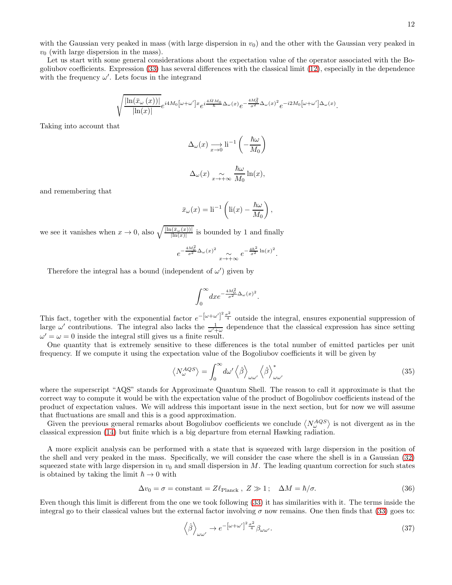with the Gaussian very peaked in mass (with large dispersion in  $v_0$ ) and the other with the Gaussian very peaked in  $v_0$  (with large dispersion in the mass).

Let us start with some general considerations about the expectation value of the operator associated with the Bogoliubov coefficients. Expression [\(33\)](#page-11-1) has several differences with the classical limit [\(12\)](#page-5-0), especially in the dependence with the frequency  $\omega'$ . Lets focus in the integrand

$$
\sqrt{\frac{\left|\ln(\bar{x}_\omega\left(x\right))\right|}{\left|\ln(x)\right|}}e^{i4M_0\left[\omega+\omega'\right]x}e^{i\frac{4\bar{M}M_0}{\hbar}\Delta_\omega\left(x\right)}e^{-\frac{4M_0^2}{\sigma^2}\Delta_\omega\left(x\right)^2}e^{-i2M_0\left[\omega+\omega'\right]\Delta_\omega\left(x\right)}.
$$

Taking into account that

$$
\Delta_{\omega}(x) \xrightarrow[x \to 0]{} \mathrm{li}^{-1}\left(-\frac{\hbar \omega}{M_0}\right)
$$
  

$$
\Delta_{\omega}(x) \xrightarrow[x \to +\infty]{} \frac{\hbar \omega}{M_0} \ln(x),
$$

and remembering that

$$
\bar{x}_{\omega}(x) = \mathrm{li}^{-1} \left( \mathrm{li}(x) - \frac{\hbar \omega}{M_0} \right),\,
$$

we see it vanishes when  $x \to 0$ , also  $\sqrt{\frac{\ln(\bar{x}_\omega(x))}{\ln(x)}}$  is bounded by 1 and finally

$$
e^{-\frac{4M_0^2}{\sigma^2}\Delta_\omega(x)^2} \sim e^{-\frac{4\hbar^2}{\sigma^2}\ln(x)^2}.
$$

Therefore the integral has a bound (independent of  $\omega'$ ) given by

$$
\int_0^\infty dx e^{-\frac{4M_0^2}{\sigma^2} \Delta_\omega(x)^2}.
$$

This fact, together with the exponential factor  $e^{-\left[\omega+\omega'\right]^2\frac{\sigma^2}{4}}$  outside the integral, ensures exponential suppression of large  $\omega'$  contributions. The integral also lacks the  $\frac{1}{\omega'+\omega}$  dependence that the classical expression has since setting  $\omega' = \omega = 0$  inside the integral still gives us a finite result.

One quantity that is extremely sensitive to these differences is the total number of emitted particles per unit frequency. If we compute it using the expectation value of the Bogoliubov coefficients it will be given by

$$
\langle N_{\omega}^{AQS} \rangle = \int_0^{\infty} d\omega' \left\langle \hat{\beta} \right\rangle_{\omega\omega'} \left\langle \hat{\beta} \right\rangle_{\omega\omega'}^* \tag{35}
$$

where the superscript "AQS" stands for Approximate Quantum Shell. The reason to call it approximate is that the correct way to compute it would be with the expectation value of the product of Bogoliubov coefficients instead of the product of expectation values. We will address this important issue in the next section, but for now we will assume that fluctuations are small and this is a good approximation.

Given the previous general remarks about Bogoliubov coefficients we conclude  $\langle N_{\omega}^{AQS} \rangle$  is not divergent as in the classical expression [\(14\)](#page-5-1) but finite which is a big departure from eternal Hawking radiation.

A more explicit analysis can be performed with a state that is squeezed with large dispersion in the position of the shell and very peaked in the mass. Specifically, we will consider the case where the shell is in a Gaussian [\(32\)](#page-11-2) squeezed state with large dispersion in  $v_0$  and small dispersion in M. The leading quantum correction for such states is obtained by taking the limit  $\hbar \rightarrow 0$  with

<span id="page-12-1"></span>
$$
\Delta v_0 = \sigma = \text{constant} = Z\ell_{\text{Planck}} , Z \gg 1 ; \quad \Delta M = \hbar/\sigma. \tag{36}
$$

Even though this limit is different from the one we took following [\(33\)](#page-11-1) it has similarities with it. The terms inside the integral go to their classical values but the external factor involving  $\sigma$  now remains. One then finds that [\(33\)](#page-11-1) goes to:

<span id="page-12-0"></span>
$$
\left\langle \hat{\beta} \right\rangle_{\omega\omega'} \to e^{-\left[\omega + \omega'\right]^2 \frac{\sigma^2}{4}} \beta_{\omega\omega'}.
$$
\n(37)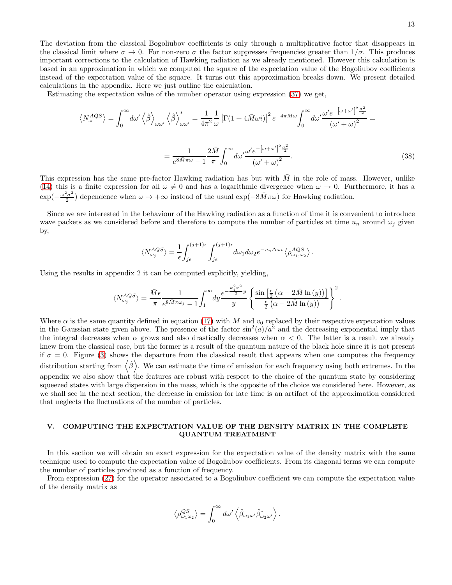The deviation from the classical Bogoliubov coefficients is only through a multiplicative factor that disappears in the classical limit where  $\sigma \to 0$ . For non-zero  $\sigma$  the factor suppresses frequencies greater than  $1/\sigma$ . This produces important corrections to the calculation of Hawking radiation as we already mentioned. However this calculation is based in an approximation in which we computed the square of the expectation value of the Bogoliubov coefficients instead of the expectation value of the square. It turns out this approximation breaks down. We present detailed calculations in the appendix. Here we just outline the calculation.

Estimating the expectation value of the number operator using expression [\(37\)](#page-12-0) we get,

$$
\langle N_{\omega}^{AQS} \rangle = \int_0^{\infty} d\omega' \left\langle \hat{\beta} \right\rangle_{\omega\omega'} \left\langle \hat{\beta} \right\rangle_{\omega\omega'}^* = \frac{1}{4\pi^2} \frac{1}{\omega} \left| \Gamma(1 + 4\bar{M}\omega i) \right|^2 e^{-4\pi \bar{M}\omega} \int_0^{\infty} d\omega' \frac{\omega' e^{-\left[\omega + \omega'\right]^2 \frac{\sigma^2}{2}}}{\left(\omega' + \omega\right)^2} = \frac{1}{e^{8\bar{M}\pi\omega} - 1} \frac{2\bar{M}}{\pi} \int_0^{\infty} d\omega' \frac{\omega' e^{-\left[\omega + \omega'\right]^2 \frac{\sigma^2}{2}}}{\left(\omega' + \omega\right)^2}.
$$
\n(38)

This expression has the same pre-factor Hawking radiation has but with  $\overline{M}$  in the role of mass. However, unlike [\(14\)](#page-5-1) this is a finite expression for all  $\omega \neq 0$  and has a logarithmic divergence when  $\omega \to 0$ . Furthermore, it has a  $\exp(-\frac{\omega^2 \sigma^2}{2})$  $\frac{2\sigma^2}{2}$ ) dependence when  $\omega \to +\infty$  instead of the usual exp( $-8\bar{M}\pi\omega$ ) for Hawking radiation.

Since we are interested in the behaviour of the Hawking radiation as a function of time it is convenient to introduce wave packets as we considered before and therefore to compute the number of particles at time  $u_n$  around  $\omega_i$  given by,

$$
\langle N_{\omega_j}^{AQS} \rangle = \frac{1}{\epsilon} \int_{j\epsilon}^{(j+1)\epsilon} \int_{j\epsilon}^{(j+1)\epsilon} d\omega_1 d\omega_2 e^{-u_n \Delta \omega i} \left\langle \rho_{\omega_1,\omega_2}^{AQS} \right\rangle.
$$

Using the results in appendix 2 it can be computed explicitly, yielding,

$$
\langle N_{\omega_j}^{AQS} \rangle = \frac{\bar{M}\epsilon}{\pi} \frac{1}{e^{8\bar{M}\pi\omega_j} - 1} \int_1^\infty dy \frac{e^{-\frac{\omega_j^2 \sigma^2}{2}y}}{y} \left\{ \frac{\sin\left[\frac{\epsilon}{2}\left(\alpha - 2\bar{M}\ln\left(y\right)\right)\right]}{\frac{\epsilon}{2}\left(\alpha - 2\bar{M}\ln\left(y\right)\right)}\right\}^2.
$$

Where  $\alpha$  is the same quantity defined in equation [\(17\)](#page-7-0) with M and  $v_0$  replaced by their respective expectation values in the Gaussian state given above. The presence of the factor  $\sin^2(a)/a^2$  and the decreasing exponential imply that the integral decreases when  $\alpha$  grows and also drastically decreases when  $\alpha < 0$ . The latter is a result we already knew from the classical case, but the former is a result of the quantum nature of the black hole since it is not present if  $\sigma = 0$ . Figure [\(3\)](#page-14-0) shows the departure from the classical result that appears when one computes the frequency distribution starting from  $\langle \hat{\beta} \rangle$ . We can estimate the time of emission for each frequency using both extremes. In the appendix we also show that the features are robust with respect to the choice of the quantum state by considering squeezed states with large dispersion in the mass, which is the opposite of the choice we considered here. However, as we shall see in the next section, the decrease in emission for late time is an artifact of the approximation considered that neglects the fluctuations of the number of particles.

## V. COMPUTING THE EXPECTATION VALUE OF THE DENSITY MATRIX IN THE COMPLETE QUANTUM TREATMENT

In this section we will obtain an exact expression for the expectation value of the density matrix with the same technique used to compute the expectation value of Bogoliubov coefficients. From its diagonal terms we can compute the number of particles produced as a function of frequency.

From expression [\(27\)](#page-9-1) for the operator associated to a Bogoliubov coefficient we can compute the expectation value of the density matrix as

$$
\left\langle \rho^{QS}_{\omega_1\omega_2} \right\rangle = \int_0^\infty d\omega' \left\langle \hat{\beta}_{\omega_1\omega'} \hat{\beta}^*_{\omega_2\omega'} \right\rangle.
$$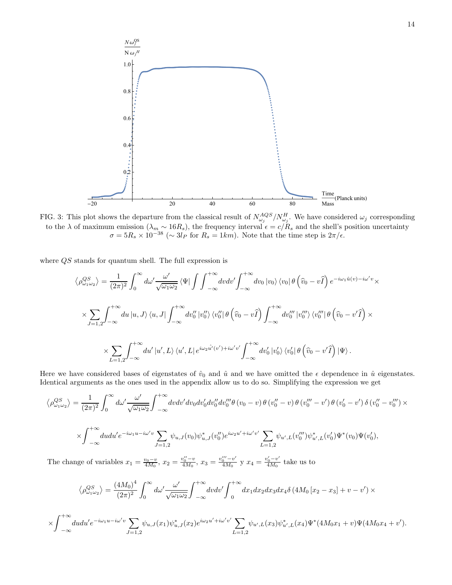

<span id="page-14-0"></span>FIG. 3: This plot shows the departure from the classical result of  $N_{\omega_j}^{AQS}/N_{\omega_j}^H$ . We have considered  $\omega_j$  corresponding to the  $\lambda$  of maximum emission ( $\lambda_m \sim 16R_s$ ), the frequency interval  $\epsilon = c/R_s$  and the shell's position uncertainty  $\sigma = 5R_s \times 10^{-38}$  (~ 3l<sub>P</sub> for  $R_s = 1km$ ). Note that the time step is  $2\pi/\epsilon$ .

where  $QS$  stands for quantum shell. The full expression is

$$
\langle \rho_{\omega_1 \omega_2}^{QS} \rangle = \frac{1}{(2\pi)^2} \int_0^\infty d\omega' \frac{\omega'}{\sqrt{\omega_1 \omega_2}} \langle \Psi | \int \int_{-\infty}^{+\infty} dv dv' \int_{-\infty}^{+\infty} dv_0 |v_0\rangle \langle v_0| \theta (\hat{v}_0 - v\hat{I}) e^{-i\omega_1 \hat{u}(v) - i\omega' v} \times
$$
  

$$
\times \sum_{J=1,2} \int_{-\infty}^{+\infty} du |u, J\rangle \langle u, J| \int_{-\infty}^{+\infty} dv_0'' |v_0''\rangle \langle v_0''| \theta (\hat{v}_0 - v\hat{I}) \int_{-\infty}^{+\infty} dv_0''' |v_0'''\rangle \langle v_0'''| \theta (\hat{v}_0 - v'\hat{I}) \times
$$
  

$$
\times \sum_{L=1,2} \int_{-\infty}^{+\infty} du' |u', L\rangle \langle u', L| e^{i\omega_2 \hat{u}'(v') + i\omega' v'} \int_{-\infty}^{+\infty} dv_0' |v_0'\rangle \langle v_0' | \theta (\hat{v}_0 - v'\hat{I}) | \Psi \rangle.
$$

Here we have considered bases of eigenstates of  $\hat{v}_0$  and  $\hat{u}$  and we have omitted the  $\epsilon$  dependence in  $\hat{u}$  eigenstates. Identical arguments as the ones used in the appendix allow us to do so. Simplifying the expression we get

$$
\left\langle \rho^{QS}_{\omega_1\omega_2} \right\rangle = \frac{1}{(2\pi)^2} \int_0^\infty d\omega' \frac{\omega'}{\sqrt{\omega_1\omega_2}} \int_{-\infty}^{+\infty} dv dv' dv_0 dv_0' dv_0'' dv_0'''\theta \left(v_0 - v\right) \theta \left(v_0'' - v\right) \theta \left(v_0'' - v'\right) \theta \left(v_0' - v'\right) \delta \left(v_0'' - v_0''\right) \times \int_{-\infty}^{+\infty} du du' e^{-i\omega_1 u - i\omega' v} \sum_{J=1,2} \psi_{u,J}(v_0) \psi_{u,J}^*(v_0'') e^{i\omega_2 u' + i\omega' v'} \sum_{L=1,2} \psi_{u',L}(v_0'') \psi_{u',L}^*(v_0') \Psi^*(v_0) \Psi(v_0'),
$$

The change of variables  $x_1 = \frac{v_0 - v}{4M_0}$ ,  $x_2 = \frac{v_0'' - v}{4M_0}$ ,  $x_3 = \frac{v_0'' - v'}{4M_0}$  $\frac{v''-v'}{4M_0}$  y  $x_4 = \frac{v'_0-v'}{4M_0}$  $\frac{\sqrt{a-v}}{4M_0}$  take us to

$$
\left\langle \rho_{\omega_1 \omega_2}^{QS} \right\rangle = \frac{(4M_0)^4}{(2\pi)^2} \int_0^\infty d\omega' \frac{\omega'}{\sqrt{\omega_1 \omega_2}} \int_{-\infty}^{+\infty} dv dv' \int_0^{+\infty} dx_1 dx_2 dx_3 dx_4 \delta \left( 4M_0 \left[ x_2 - x_3 \right] + v - v' \right) \times
$$

$$
\times \int_{-\infty}^{+\infty} du du' e^{-i\omega_1 u - i\omega' v} \sum_{J=1,2} \psi_{u,J}(x_1) \psi_{u,J}^*(x_2) e^{i\omega_2 u' + i\omega' v'} \sum_{L=1,2} \psi_{u',L}(x_3) \psi_{u',L}^*(x_4) \Psi^*(4M_0 x_1 + v) \Psi(4M_0 x_4 + v').
$$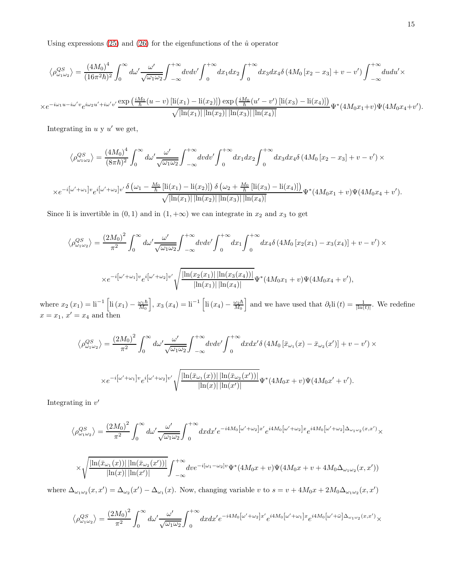Using expressions [\(25\)](#page-8-0) and [\(26\)](#page-8-1) for the eigenfunctions of the  $\hat{u}$  operator

$$
\langle \rho_{\omega_1\omega_2}^{QS} \rangle = \frac{(4M_0)^4}{(16\pi^2\hbar)^2} \int_0^\infty d\omega' \frac{\omega'}{\sqrt{\omega_1\omega_2}} \int_{-\infty}^{+\infty} dv dv' \int_0^{+\infty} dx_1 dx_2 \int_0^{+\infty} dx_3 dx_4 \delta(4M_0 [x_2 - x_3] + v - v') \int_{-\infty}^{+\infty} du du' \times
$$
  

$$
e^{-i\omega_1 u - i\omega' v} e^{i\omega_2 u' + i\omega' v'} \frac{\exp\left(\frac{iM_0}{\hbar}(u - v) [\text{li}(x_1) - \text{li}(x_2)]\right) \exp\left(\frac{iM_0}{\hbar}(u' - v') [\text{li}(x_3) - \text{li}(x_4)]\right)}{\sqrt{|\text{ln}(x_1)| |\text{ln}(x_2)| |\text{ln}(x_3)| |\text{ln}(x_4)|}} \Psi^*(4M_0 x_1 + v) \Psi(4M_0 x_4 + v').
$$

Integrating in  $u \, y \, u'$  we get,

 $\times$ 

$$
\left\langle \rho_{\omega_1 \omega_2}^{QS} \right\rangle = \frac{(4M_0)^4}{(8\pi\hbar)^2} \int_0^\infty d\omega' \frac{\omega'}{\sqrt{\omega_1 \omega_2}} \int_{-\infty}^{+\infty} dv dv' \int_0^{+\infty} dx_1 dx_2 \int_0^{+\infty} dx_3 dx_4 \delta \left( 4M_0 \left[ x_2 - x_3 \right] + v - v' \right) \times
$$

$$
\times e^{-i\left[\omega'+\omega_1\right]v}e^{i\left[\omega'+\omega_2\right]v'}\frac{\delta\left(\omega_1-\frac{M_0}{\hbar}\left[\text{li}(x_1)-\text{li}(x_2)\right]\right)\delta\left(\omega_2+\frac{M_0}{\hbar}\left[\text{li}(x_3)-\text{li}(x_4)\right]\right)}{\sqrt{\left|\ln(x_1)\right|\left|\ln(x_2)\right|\left|\ln(x_3)\right|\left|\ln(x_4)\right|}}\Psi^*(4M_0x_1+v)\Psi(4M_0x_4+v').
$$

Since li is invertible in  $(0, 1)$  and in  $(1, +\infty)$  we can integrate in  $x_2$  and  $x_3$  to get

$$
\langle \rho_{\omega_1 \omega_2}^{QS} \rangle = \frac{(2M_0)^2}{\pi^2} \int_0^\infty d\omega' \frac{\omega'}{\sqrt{\omega_1 \omega_2}} \int_{-\infty}^{+\infty} dv dv' \int_0^{+\infty} dx_1 \int_0^{+\infty} dx_4 \delta \left( 4M_0 \left[ x_2(x_1) - x_3(x_4) \right] + v - v' \right) \times
$$
  
 
$$
\times e^{-i[\omega' + \omega_1]v} e^{i[\omega' + \omega_2]v'} \sqrt{\frac{|\ln(x_2(x_1)| \left| \ln(x_3(x_4)) \right|}{|\ln(x_1)| \left| \ln(x_4) \right|}} \Psi^*(4M_0 x_1 + v) \Psi(4M_0 x_4 + v'),
$$

where  $x_2(x_1) = \mathrm{li}^{-1} \left[ \mathrm{li} (x_1) - \frac{\omega_1 \hbar}{M_0} \right]$  $\Big], x_3(x_4) = \mathrm{li}^{-1} \Big[ \mathrm{li} (x_4) - \frac{\omega_2 \hbar}{M_0} \Big]$ | and we have used that  $\partial_t$ li  $(t) = \frac{1}{|\ln(t)|}$ . We redefine  $x = x_1, x' = x_4$  and then

$$
\langle \rho_{\omega_1 \omega_2}^{QS} \rangle = \frac{(2M_0)^2}{\pi^2} \int_0^\infty d\omega' \frac{\omega'}{\sqrt{\omega_1 \omega_2}} \int_{-\infty}^{+\infty} dv dv' \int_0^{+\infty} dx dx' \delta \left( 4M_0 \left[ \bar{x}_{\omega_1}(x) - \bar{x}_{\omega_2}(x') \right] + v - v' \right) \times
$$
  
 
$$
\times e^{-i\left[\omega' + \omega_1\right]v} e^{i\left[\omega' + \omega_2\right]v'} \sqrt{\frac{\left|\ln(\bar{x}_{\omega_1}(x))\right| \left|\ln(\bar{x}_{\omega_2}(x'))\right|}{\left|\ln(x)\right| \left|\ln(x')\right|}} \Psi^*(4M_0 x + v) \Psi(4M_0 x' + v').
$$

Integrating in  $v'$ 

$$
\left\langle \rho^{QS}_{\omega_1\omega_2}\right\rangle=\frac{\left(2M_0\right)^2}{\pi^2}\int_0^\infty d\omega'\frac{\omega'}{\sqrt{\omega_1\omega_2}}\int_0^{+\infty}dxdx'e^{-i4M_0\left[\omega'+\omega_2\right]x'}e^{i4M_0\left[\omega'+\omega_2\right]x}e^{i4M_0\left[\omega'+\omega_2\right]\Delta_{\omega_1\omega_2}(x,x')}\times
$$

$$
\times \sqrt{\frac{\left| \ln(\bar{x}_{\omega_1}(x))\right| \left| \ln(\bar{x}_{\omega_2}(x')) \right|}{\left| \ln(x)\right| \left| \ln(x') \right|}} \int_{-\infty}^{+\infty} dv e^{-i[\omega_1 - \omega_2]v} \Psi^*(4M_0x + v) \Psi(4M_0x + v + 4M_0\Delta_{\omega_1\omega_2}(x, x'))
$$

where  $\Delta_{\omega_1\omega_2}(x, x') = \Delta_{\omega_2}(x') - \Delta_{\omega_1}(x)$ . Now, changing variable v to  $s = v + 4M_0x + 2M_0\Delta_{\omega_1\omega_2}(x, x')$ 

$$
\left<\rho^{QS}_{\omega_1\omega_2}\right> = \frac{\left(2M_0\right)^2}{\pi^2} \int_0^\infty d\omega' \frac{\omega'}{\sqrt{\omega_1\omega_2}} \int_0^{+\infty} dx dx' e^{-i4M_0\left[\omega' + \omega_2\right]x'} e^{i4M_0\left[\omega' + \omega_1\right]x} e^{i4M_0\left[\omega' + \bar{\omega}\right]\Delta_{\omega_1\omega_2}(x, x')} \times
$$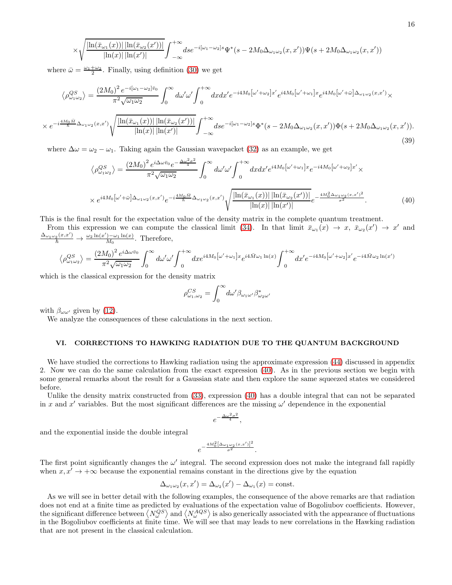$$
\times\sqrt{\frac{\left|\ln(\bar{x}_{\omega_1}(x))\right|\left|\ln(\bar{x}_{\omega_2}(x'))\right|}{\left|\ln(x)\right|\left|\ln(x')\right|}}\int_{-\infty}^{+\infty}\!\!dse^{-i[\omega_1-\omega_2]s}\Psi^*(s-2M_0\Delta_{\omega_1\omega_2}(x,x'))\Psi(s+2M_0\Delta_{\omega_1\omega_2}(x,x'))
$$

where  $\bar{\omega} = \frac{\omega_1 + \omega_2}{2}$ . Finally, using definition [\(30\)](#page-10-0) we get

$$
\langle \rho_{\omega_1 \omega_2}^{QS} \rangle = \frac{(2M_0)^2 e^{-i[\omega_1 - \omega_2]\bar{v}_0}}{\pi^2 \sqrt{\omega_1 \omega_2}} \int_0^\infty d\omega' \omega' \int_0^{+\infty} dx dx' e^{-i4M_0[\omega' + \omega_2]x'} e^{i4M_0[\omega' + \omega_1]} x e^{i4M_0[\omega' + \bar{\omega}]\Delta_{\omega_1 \omega_2}(x, x')} \times
$$
  

$$
-i^{4M_0\bar{M}} \Delta_{\omega_1 \omega_2}(x, x') \sqrt{|\ln(\bar{x}_{\omega_1}(x))| |\ln(\bar{x}_{\omega_2}(x'))|} \int_0^{+\infty} e^{-i[\omega_1 - \omega_2]x'x'} e^{i4M_0[\omega' + \omega_1]} x e^{i4M_0[\omega' + \bar{\omega}]\Delta_{\omega_1 \omega_2}(x, x')} \times
$$

$$
\times e^{-i\frac{4M_0\bar{M}}{\hbar}\Delta_{\omega_1\omega_2}(x,x')} \sqrt{\frac{|\ln(\bar{x}_{\omega_1}(x))| |\ln(\bar{x}_{\omega_2}(x'))|}{|\ln(x)| |\ln(x')|}} \int_{-\infty}^{+\infty} ds e^{-i[\omega_1-\omega_2]s} \Phi^*(s-2M_0\Delta_{\omega_1\omega_2}(x,x')) \Phi(s+2M_0\Delta_{\omega_1\omega_2}(x,x')).
$$
\n(39)

where  $\Delta\omega = \omega_2 - \omega_1$ . Taking again the Gaussian wavepacket [\(32\)](#page-11-2) as an example, we get

<span id="page-16-0"></span>
$$
\langle \rho_{\omega_1 \omega_2}^{QS} \rangle = \frac{\left(2M_0\right)^2 e^{i\Delta \omega \bar{v}_0} e^{-\frac{\Delta \omega^2 \sigma^2}{4}}}{\pi^2 \sqrt{\omega_1 \omega_2}} \int_0^\infty d\omega' \omega' \int_0^{+\infty} dxdx' e^{i4M_0\left[\omega' + \omega_1\right]x} e^{-i4M_0\left[\omega' + \omega_2\right]x'} \times
$$
  

$$
\times e^{i4M_0\left[\omega' + \bar{\omega}\right] \Delta_{\omega_1 \omega_2}(x, x')} e^{-i\frac{4M_0\bar{M}}{\hbar} \Delta_{\omega_1 \omega_2}(x, x')} \sqrt{\frac{\left|\ln(\bar{x}_{\omega_1}(x))\right| \left|\ln(\bar{x}_{\omega_2}(x'))\right|}{\left|\ln(x)\right| \left|\ln(x')\right|}} e^{-\frac{4M_0^2 \Delta_{\omega_1 \omega_2}(x, x')^2}{\sigma^2}}.
$$
(40)

This is the final result for the expectation value of the density matrix in the complete quantum treatment.

From this expression we can compute the classical limit [\(34\)](#page-11-0). In that limit  $\bar{x}_{\omega_1}(x) \to x$ ,  $\bar{x}_{\omega_2}(x') \to x'$  and  $\frac{\Delta_{\omega_1\omega_2}(x,x')}{\hbar} \to \frac{\omega_2 \ln(x') - \omega_1 \ln(x)}{M_0}$ . Therefore,

$$
\left\langle \rho^{QS}_{\omega_1\omega_2}\right\rangle=\frac{\left(2M_0\right)^2e^{i\Delta\omega\bar{v}_0}}{\pi^2\sqrt{\omega_1\omega_2}}\int_0^\infty d\omega'\omega'\!\int_0^{+\infty}\!dx e^{i4M_0\left[\omega'+\omega_1\right]x}e^{i4\bar{M}\omega_1\ln(x)}\!\int_0^{+\infty}\!dx' e^{-i4M_0\left[\omega'+\omega_2\right]x'}e^{-i4\bar{M}\omega_2\ln(x')}
$$

which is the classical expression for the density matrix

$$
\rho^{CS}_{\omega_1,\omega_2}=\int_0^\infty\!d\omega'\beta_{\omega_1\omega'}\beta^*_{\omega_2\omega'}
$$

with  $\beta_{\omega\omega'}$  given by [\(12\)](#page-5-0).

We analyze the consequences of these calculations in the next section.

## VI. CORRECTIONS TO HAWKING RADIATION DUE TO THE QUANTUM BACKGROUND

We have studied the corrections to Hawking radiation using the approximate expression [\(44\)](#page-22-0) discussed in appendix 2. Now we can do the same calculation from the exact expression [\(40\)](#page-16-0). As in the previous section we begin with some general remarks about the result for a Gaussian state and then explore the same squeezed states we considered before.

Unlike the density matrix constructed from  $(33)$ , expression  $(40)$  has a double integral that can not be separated in x and x' variables. But the most significant differences are the missing  $\omega'$  dependence in the exponential

$$
e^{-\frac{\Delta\omega^2\sigma^2}{4}},
$$

and the exponential inside the double integral

$$
e^{-\frac{4M_0^2\left[\Delta_{\omega_1\omega_2}(x,x')\right]^2}{\sigma^2}}.
$$

The first point significantly changes the  $\omega'$  integral. The second expression does not make the integrand fall rapidly when  $x, x' \rightarrow +\infty$  because the exponential remains constant in the directions give by the equation

$$
\Delta_{\omega_1\omega_2}(x, x') = \Delta_{\omega_2}(x') - \Delta_{\omega_1}(x) = \text{const.}
$$

As we will see in better detail with the following examples, the consequence of the above remarks are that radiation does not end at a finite time as predicted by evaluations of the expectation value of Bogoliubov coefficients. However, the significant difference between  $\langle N_\omega^{QS} \rangle$  and  $\langle N_\omega^{AQS} \rangle$  is also generically associated with the appearance of fluctuations in the Bogoliubov coefficients at finite time. We will see that may leads to new correlations in the Hawking radiation that are not present in the classical calculation.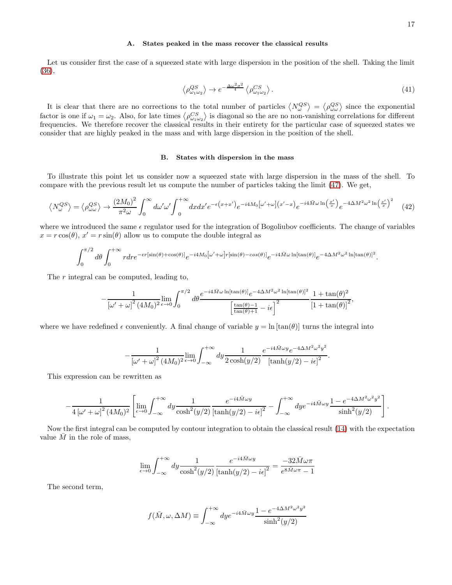.

## A. States peaked in the mass recover the classical results

Let us consider first the case of a squeezed state with large dispersion in the position of the shell. Taking the limit [\(36\)](#page-12-1),

$$
\left\langle \rho_{\omega_1 \omega_2}^{QS} \right\rangle \to e^{-\frac{\Delta \omega^2 \sigma^2}{4}} \left\langle \rho_{\omega_1 \omega_2}^{CS} \right\rangle. \tag{41}
$$

It is clear that there are no corrections to the total number of particles  $\langle N_{\omega}^{QS} \rangle = \langle \rho_{\omega\omega}^{QS} \rangle$  since the exponential This clear that there are no corrections to the total number of particles  $\langle V_{\omega}^S \rangle = \langle P_{\omega}^S \rangle$  since the exponential factor is one if  $\omega_1 = \omega_2$ . Also, for late times  $\langle P_{\omega_1\omega_2}^{CS} \rangle$  is diagonal so the are no n frequencies. We therefore recover the classical results in their entirety for the particular case of squeezed states we consider that are highly peaked in the mass and with large dispersion in the position of the shell.

#### B. States with dispersion in the mass

To illustrate this point let us consider now a squeezed state with large dispersion in the mass of the shell. To compare with the previous result let us compute the number of particles taking the limit [\(47\)](#page-24-7). We get,

$$
\left\langle N_{\omega}^{QS} \right\rangle = \left\langle \rho_{\omega\omega}^{QS} \right\rangle \to \frac{\left(2M_0\right)^2}{\pi^2 \omega} \int_0^\infty d\omega' \omega' \int_0^{+\infty} dx dx' e^{-\epsilon(x+x')} e^{-i4M_0 \left[\omega' + \omega\right]\left(x'-x\right)} e^{-i4\bar{M}\omega \ln\left(\frac{x'}{x}\right)} e^{-4\Delta M^2 \omega^2 \ln\left(\frac{x'}{x}\right)^2} \tag{42}
$$

where we introduced the same  $\epsilon$  regulator used for the integration of Bogoliubov coefficients. The change of variables  $x = r \cos(\theta), x' = r \sin(\theta)$  allow us to compute the double integral as

$$
\int_0^{\pi/2} d\theta \int_0^{+\infty} r dr e^{-\epsilon r [\sin(\theta)+\cos(\theta)]} e^{-i4M_0 \left[\omega'+\omega\right] r [\sin(\theta)-\cos(\theta)]} e^{-i4\bar{M}\omega \ln[\tan(\theta)]} e^{-4\Delta M^2 \omega^2 \ln[\tan(\theta)]^2}
$$

The r integral can be computed, leading to,

$$
-\frac{1}{\left[\omega'+\omega\right]^2(4M_0)^2}\lim_{\epsilon\to 0}\int_0^{\pi/2}d\theta\frac{e^{-i4\bar{M}\omega\ln[\tan(\theta)]}e^{-4\Delta M^2\omega^2\ln[\tan(\theta)]^2}}{\left[\frac{\tan(\theta)-1}{\tan(\theta)+1}-i\epsilon\right]^2}\frac{1+\tan(\theta)^2}{\left[1+\tan(\theta)\right]^2},
$$

where we have redefined  $\epsilon$  conveniently. A final change of variable  $y = \ln [\tan(\theta)]$  turns the integral into

$$
-\frac{1}{\left[\omega'+\omega\right]^2 (4M_0)^2} \lim_{\epsilon \to 0} \int_{-\infty}^{+\infty} dy \frac{1}{2 \cosh(y/2)} \frac{e^{-i4\bar{M}\omega y} e^{-4\Delta M^2 \omega^2 y^2}}{\left[\tanh(y/2) - i\epsilon\right]^2}.
$$

This expression can be rewritten as

$$
-\frac{1}{4\left[\omega'+\omega\right]^2(4M_0)^2}\left[\lim_{\epsilon\to 0}\int_{-\infty}^{+\infty}dy\frac{1}{\cosh^2(y/2)}\frac{e^{-i4\bar{M}\omega y}}{\left[\tanh(y/2)-i\epsilon\right]^2}-\int_{-\infty}^{+\infty}dy e^{-i4\bar{M}\omega y}\frac{1-e^{-4\Delta M^2\omega^2y^2}}{\sinh^2(y/2)}\right].
$$

Now the first integral can be computed by contour integration to obtain the classical result [\(14\)](#page-5-1) with the expectation value  $M$  in the role of mass,

$$
\lim_{\epsilon \to 0} \int_{-\infty}^{+\infty} dy \frac{1}{\cosh^2(y/2)} \frac{e^{-i4\bar{M}\omega y}}{\left[\tanh(y/2) - i\epsilon\right]^2} = \frac{-32\bar{M}\omega\pi}{e^{8\bar{M}\omega\pi} - 1}
$$

The second term,

$$
f(\bar{M}, \omega, \Delta M) \equiv \int_{-\infty}^{+\infty} dy e^{-i4\bar{M}\omega y} \frac{1 - e^{-4\Delta M^2 \omega^2 y^2}}{\sinh^2(y/2)}
$$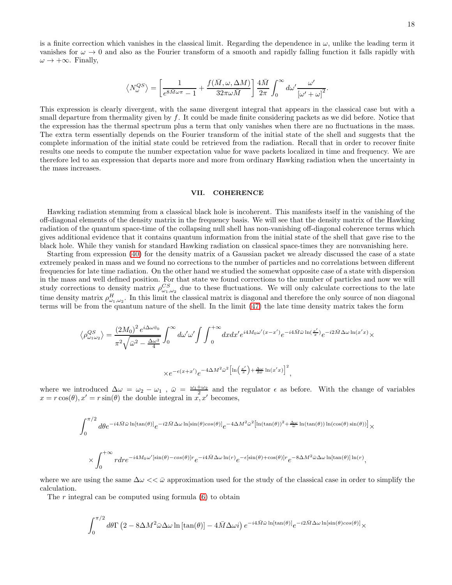is a finite correction which vanishes in the classical limit. Regarding the dependence in  $\omega$ , unlike the leading term it vanishes for  $\omega \to 0$  and also as the Fourier transform of a smooth and rapidly falling function it falls rapidly with  $\omega \to +\infty$ . Finally,

$$
\left\langle N_{\omega}^{QS} \right\rangle = \left[ \frac{1}{e^{8\bar{M}\omega\pi}-1} + \frac{f(\bar{M},\omega,\Delta M)}{32\pi\omega\bar{M}} \right] \frac{4\bar{M}}{2\pi} \int_0^{\infty} d\omega' \frac{\omega'}{\left[\omega'+\omega\right]^2}.
$$

This expression is clearly divergent, with the same divergent integral that appears in the classical case but with a small departure from thermality given by f. It could be made finite considering packets as we did before. Notice that the expression has the thermal spectrum plus a term that only vanishes when there are no fluctuations in the mass. The extra term essentially depends on the Fourier transform of the initial state of the shell and suggests that the complete information of the initial state could be retrieved from the radiation. Recall that in order to recover finite results one needs to compute the number expectation value for wave packets localized in time and frequency. We are therefore led to an expression that departs more and more from ordinary Hawking radiation when the uncertainty in the mass increases.

#### VII. COHERENCE

Hawking radiation stemming from a classical black hole is incoherent. This manifests itself in the vanishing of the off-diagonal elements of the density matrix in the frequency basis. We will see that the density matrix of the Hawking radiation of the quantum space-time of the collapsing null shell has non-vanishing off-diagonal coherence terms which gives additional evidence that it contains quantum information from the initial state of the shell that gave rise to the black hole. While they vanish for standard Hawking radiation on classical space-times they are nonvanishing here.

Starting from expression [\(40\)](#page-16-0) for the density matrix of a Gaussian packet we already discussed the case of a state extremely peaked in mass and we found no corrections to the number of particles and no correlations between different frequencies for late time radiation. On the other hand we studied the somewhat opposite case of a state with dispersion in the mass and well defined position. For that state we found corrections to the number of particles and now we will study corrections to density matrix  $\rho_{\omega_1,\omega_2}^{CS}$  due to these fluctuations. We will only calculate corrections to the late time density matrix  $\rho_{\omega_1,\omega_2}^H$ . In this limit the classical matrix is diagonal and therefore the only source of non diagonal terms will be from the quantum nature of the shell. In the limit [\(47\)](#page-24-7) the late time density matrix takes the form

$$
\langle \rho_{\omega_1 \omega_2}^{QS} \rangle = \frac{(2M_0)^2 e^{i\Delta \omega \bar{v}_0}}{\pi^2 \sqrt{\bar{\omega}^2 - \frac{\Delta \omega^2}{4}}} \int_0^\infty d\omega' \omega' \int \int_0^{+\infty} dx dx' e^{i4M_0 \omega'(x - x')} e^{-i4\bar{M}\bar{\omega} \ln(\frac{x'}{x})} e^{-i2\bar{M}\Delta \omega \ln(x'x)} \times
$$
  
 
$$
\times e^{-\epsilon(x + x')} e^{-4\Delta M^2 \bar{\omega}^2 \left[ \ln\left(\frac{x'}{x}\right) + \frac{\Delta \omega}{2\bar{\omega}} \ln(x'x) \right]^2},
$$

where we introduced  $\Delta \omega = \omega_2 - \omega_1$ ,  $\bar{\omega} = \frac{\omega_1 + \omega_2}{2}$  and the regulator  $\epsilon$  as before. With the change of variables  $x = r \cos(\theta), x' = r \sin(\theta)$  the double integral in  $x, x'$  becomes,

$$
\begin{split} \int_0^{\pi/2} d\theta e^{-i4\bar{M}\bar{\omega}\ln[\tan(\theta)]} e^{-i2\bar{M}\Delta\omega\ln[\sin(\theta)cos(\theta)]} e^{-4\Delta M^2\bar{\omega}^2 \left[\ln(\tan(\theta))^2 + \frac{\Delta\omega}{\bar{\omega}}\ln(\tan(\theta))\ln(\cos(\theta)\sin(\theta))\right]}\times \\ \times \int_0^{+\infty} r dr e^{-i4M_0\omega'[\sin(\theta)-cos(\theta)]r} e^{-i4\bar{M}\Delta\omega\ln(r)} e^{-\epsilon[\sin(\theta)+\cos(\theta)]r} e^{-8\Delta M^2\bar{\omega}\Delta\omega\ln[\tan(\theta)]\ln(r)}, \end{split}
$$

where we are using the same  $\Delta\omega << \bar{\omega}$  approximation used for the study of the classical case in order to simplify the calculation.

The r integral can be computed using formula  $(6)$  to obtain

$$
\int_0^{\pi/2} d\theta \Gamma\left(2-8\Delta M^2\bar{\omega}\Delta\omega\ln\left[\tan(\theta)\right] -4\bar{M}\Delta\omega i\right) e^{-i4\bar{M}\bar{\omega}\ln\left[\tan(\theta)\right]}e^{-i2\bar{M}\Delta\omega\ln\left[\sin(\theta)cos(\theta)\right]}\times
$$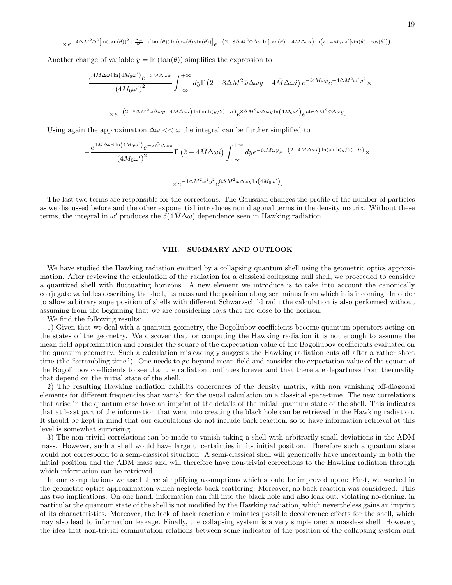$$
\times e^{-4\Delta M^2\bar{\omega}^2\left[\ln(\tan(\theta))^2+\frac{\Delta\omega}{\bar{\omega}}\ln(\tan(\theta))\ln(\cos(\theta)\sin(\theta))\right]}e^{-\left(2-8\Delta M^2\bar{\omega}\Delta\omega\ln[\tan(\theta)]-4\bar{M}\Delta\omega i\right)\ln\left(\epsilon+4M_0i\omega'[\sin(\theta)-\cos(\theta)]\right)}.
$$

Another change of variable  $y = \ln(\tan(\theta))$  simplifies the expression to

$$
-\frac{e^{4\bar{M}\Delta\omega i\ln(4M_0\omega')}e^{-2\bar{M}\Delta\omega\pi}}{(4M_0\omega')^2}\int_{-\infty}^{+\infty}dy\Gamma\left(2-8\Delta M^2\bar{\omega}\Delta\omega y-4\bar{M}\Delta\omega i\right)e^{-i4\bar{M}\bar{\omega}y}e^{-4\Delta M^2\bar{\omega}^2y^2}\times
$$
  

$$
\times e^{-\left(2-8\Delta M^2\bar{\omega}\Delta\omega y-4\bar{M}\Delta\omega i\right)\ln(\sinh(y/2)-i\epsilon)}e^{8\Delta M^2\bar{\omega}\Delta\omega y\ln(4M_0\omega')}e^{i4\pi\Delta M^2\bar{\omega}\Delta\omega y}.
$$

Using again the approximation  $\Delta \omega << \bar{\omega}$  the integral can be further simplified to

$$
-\frac{e^{4\bar{M}\Delta\omega i\ln(4M_0\omega')}e^{-2\bar{M}\Delta\omega\pi}}{(4M_0\omega')^2}\Gamma\left(2-4\bar{M}\Delta\omega i\right)\int_{-\infty}^{+\infty}dy e^{-i4\bar{M}\bar{\omega}y}e^{-\left(2-4\bar{M}\Delta\omega i\right)\ln(\sinh(y/2)-i\epsilon)}\times
$$

$$
\times e^{-4\Delta M^2 \bar{\omega}^2 y^2} e^{8\Delta M^2 \bar{\omega} \Delta \omega y \ln(4M_0 \omega')}.
$$

The last two terms are responsible for the corrections. The Gaussian changes the profile of the number of particles as we discussed before and the other exponential introduces non diagonal terms in the density matrix. Without these terms, the integral in  $\omega'$  produces the  $\bar{\delta}(4\bar{M}\Delta\omega)$  dependence seen in Hawking radiation.

#### VIII. SUMMARY AND OUTLOOK

We have studied the Hawking radiation emitted by a collapsing quantum shell using the geometric optics approximation. After reviewing the calculation of the radiation for a classical collapsing null shell, we proceeded to consider a quantized shell with fluctuating horizons. A new element we introduce is to take into account the canonically conjugate variables describing the shell, its mass and the position along scri minus from which it is incoming. In order to allow arbitrary superposition of shells with different Schwarzschild radii the calculation is also performed without assuming from the beginning that we are considering rays that are close to the horizon.

We find the following results:

1) Given that we deal with a quantum geometry, the Bogoliubov coefficients become quantum operators acting on the states of the geometry. We discover that for computing the Hawking radiation it is not enough to assume the mean field approximation and consider the square of the expectation value of the Bogoliubov coefficients evaluated on the quantum geometry. Such a calculation misleadingly suggests the Hawking radiation cuts off after a rather short time (the "scrambling time"). One needs to go beyond mean-field and consider the expectation value of the square of the Bogoliubov coefficients to see that the radiation continues forever and that there are departures from thermality that depend on the initial state of the shell.

2) The resulting Hawking radiation exhibits coherences of the density matrix, with non vanishing off-diagonal elements for different frequencies that vanish for the usual calculation on a classical space-time. The new correlations that arise in the quantum case have an imprint of the details of the initial quantum state of the shell. This indicates that at least part of the information that went into creating the black hole can be retrieved in the Hawking radiation. It should be kept in mind that our calculations do not include back reaction, so to have information retrieval at this level is somewhat surprising.

3) The non-trivial correlations can be made to vanish taking a shell with arbitrarily small deviations in the ADM mass. However, such a shell would have large uncertainties in its initial position. Therefore such a quantum state would not correspond to a semi-classical situation. A semi-classical shell will generically have uncertainty in both the initial position and the ADM mass and will therefore have non-trivial corrections to the Hawking radiation through which information can be retrieved.

In our computations we used three simplifying assumptions which should be improved upon: First, we worked in the geometric optics approximation which neglects back-scattering. Moreover, no back-reaction was considered. This has two implications. On one hand, information can fall into the black hole and also leak out, violating no-cloning, in particular the quantum state of the shell is not modified by the Hawking radiation, which nevertheless gains an imprint of its characteristics. Moreover, the lack of back reaction eliminates possible decoherence effects for the shell, which may also lead to information leakage. Finally, the collapsing system is a very simple one: a massless shell. However, the idea that non-trivial commutation relations between some indicator of the position of the collapsing system and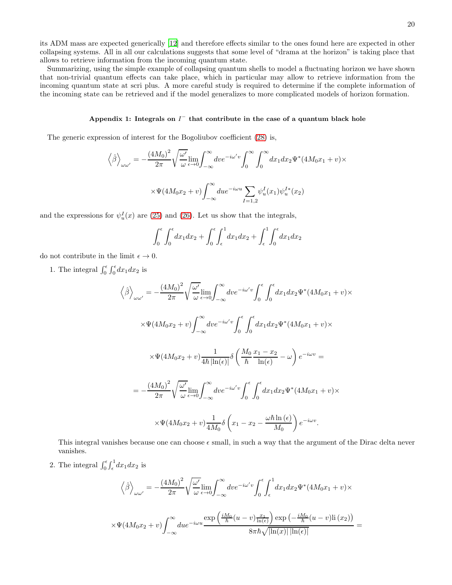its ADM mass are expected generically [\[12\]](#page-24-8) and therefore effects similar to the ones found here are expected in other collapsing systems. All in all our calculations suggests that some level of "drama at the horizon" is taking place that allows to retrieve information from the incoming quantum state.

Summarizing, using the simple example of collapsing quantum shells to model a fluctuating horizon we have shown that non-trivial quantum effects can take place, which in particular may allow to retrieve information from the incoming quantum state at scri plus. A more careful study is required to determine if the complete information of the incoming state can be retrieved and if the model generalizes to more complicated models of horizon formation.

## Appendix 1: Integrals on  $I^-$  that contribute in the case of a quantum black hole

The generic expression of interest for the Bogoliubov coefficient [\(28\)](#page-10-1) is,

$$
\left\langle \hat{\beta} \right\rangle_{\omega\omega'} = -\frac{(4M_0)^2}{2\pi} \sqrt{\frac{\omega'}{\omega}} \lim_{\epsilon \to 0} \int_{-\infty}^{\infty} dv e^{-i\omega'v} \int_0^{\infty} \int_0^{\infty} dx_1 dx_2 \Psi^*(4M_0x_1 + v) \times
$$

$$
\times \Psi(4M_0x_2 + v) \int_{-\infty}^{\infty} du e^{-i\omega u} \sum_{I=1,2} \psi_u^I(x_1) \psi_u^{I*}(x_2)
$$

and the expressions for  $\psi_u^I(x)$  are [\(25\)](#page-8-0) and [\(26\)](#page-8-1). Let us show that the integrals,

$$
\int_0^{\epsilon} \int_0^{\epsilon} dx_1 dx_2 + \int_0^{\epsilon} \int_{\epsilon}^1 dx_1 dx_2 + \int_{\epsilon}^1 \int_0^{\epsilon} dx_1 dx_2
$$

do not contribute in the limit  $\epsilon \to 0$ .

1. The integral  $\int_0^{\epsilon} \int_0^{\epsilon} dx_1 dx_2$  is

$$
\left\langle \hat{\beta} \right\rangle_{\omega\omega'} = -\frac{(4M_0)^2}{2\pi} \sqrt{\frac{\omega'}{\omega}} \lim_{\epsilon \to 0} \int_{-\infty}^{\infty} dv e^{-i\omega' v} \int_0^{\epsilon} \int_0^{\epsilon} dx_1 dx_2 \Psi^*(4M_0x_1 + v) \times
$$
  

$$
\times \Psi(4M_0x_2 + v) \int_{-\infty}^{\infty} dv e^{-i\omega' v} \int_0^{\epsilon} \int_0^{\epsilon} dx_1 dx_2 \Psi^*(4M_0x_1 + v) \times
$$
  

$$
\times \Psi(4M_0x_2 + v) \frac{1}{4\hbar \left| \ln(\epsilon) \right|} \delta \left( \frac{M_0}{\hbar} \frac{x_1 - x_2}{\ln(\epsilon)} - \omega \right) e^{-i\omega v} =
$$
  

$$
= -\frac{(4M_0)^2}{2\pi} \sqrt{\frac{\omega'}{\omega}} \lim_{\epsilon \to 0} \int_{-\infty}^{\infty} dv e^{-i\omega' v} \int_0^{\epsilon} \int_0^{\epsilon} dx_1 dx_2 \Psi^*(4M_0x_1 + v) \times
$$
  

$$
\times \Psi(4M_0x_2 + v) \frac{1}{4M_0} \delta \left( x_1 - x_2 - \frac{\omega \hbar \ln(\epsilon)}{M_0} \right) e^{-i\omega v}.
$$

This integral vanishes because one can choose  $\epsilon$  small, in such a way that the argument of the Dirac delta never vanishes.

2. The integral  $\int_0^{\epsilon} \int_{\epsilon}^1 dx_1 dx_2$  is

$$
\left\langle \hat{\beta} \right\rangle_{\omega\omega'} = -\frac{(4M_0)^2}{2\pi} \sqrt{\frac{\omega'}{\omega}} \lim_{\epsilon \to 0} \int_{-\infty}^{\infty} dv e^{-i\omega'v} \int_0^{\epsilon} \int_{\epsilon}^1 dx_1 dx_2 \Psi^*(4M_0x_1 + v) \times
$$

$$
\times \Psi(4M_0x_2 + v) \int_{-\infty}^{\infty} du e^{-i\omega u} \frac{\exp\left(\frac{iM_0}{\hbar}(u - v)\frac{x_1}{\ln(\epsilon)}\right) \exp\left(-\frac{iM_0}{\hbar}(u - v)\ln(x_2)\right)}{8\pi\hbar\sqrt{|\ln(x)| |\ln(\epsilon)|}} =
$$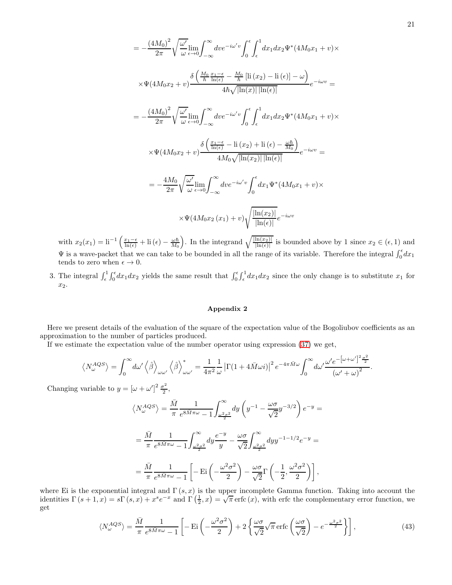$$
= -\frac{(4M_0)^2}{2\pi} \sqrt{\frac{\omega'}{\omega}} \lim_{\epsilon \to 0} \int_{-\infty}^{\infty} dv e^{-i\omega' v} \int_{0}^{\epsilon} \int_{\epsilon}^{1} dx_1 dx_2 \Psi^*(4M_0 x_1 + v) \times
$$
  

$$
\times \Psi(4M_0 x_2 + v) \frac{\delta \left(\frac{M_0}{\hbar} \frac{x_1 - \epsilon}{\ln(\epsilon)} - \frac{M_0}{\hbar} [\text{li}(x_2) - \text{li}(\epsilon)] - \omega\right)}{4\hbar \sqrt{|\ln(x)| |\ln(\epsilon)|}} e^{-i\omega v} =
$$
  

$$
= -\frac{(4M_0)^2}{2\pi} \sqrt{\frac{\omega'}{\omega}} \lim_{\epsilon \to 0} \int_{-\infty}^{\infty} dv e^{-i\omega' v} \int_{0}^{\epsilon} \int_{\epsilon}^{1} dx_1 dx_2 \Psi^*(4M_0 x_1 + v) \times
$$
  

$$
\times \Psi(4M_0 x_2 + v) \frac{\delta \left(\frac{x_1 - \epsilon}{\ln(\epsilon)} - \text{li}(x_2) + \text{li}(\epsilon) - \frac{\omega \hbar}{M_0}\right)}{4M_0 \sqrt{|\ln(x_2)| |\ln(\epsilon)|}} e^{-i\omega v} =
$$
  

$$
= -\frac{4M_0}{2\pi} \sqrt{\frac{\omega'}{\omega}} \lim_{\epsilon \to 0} \int_{-\infty}^{\infty} dv e^{-i\omega' v} \int_{0}^{\epsilon} dx_1 \Psi^*(4M_0 x_1 + v) \times
$$
  

$$
\times \Psi(4M_0 x_2 (x_1) + v) \sqrt{\frac{|\ln(x_2)|}{|\ln(\epsilon)|}} e^{-i\omega v}
$$

with  $x_2(x_1) = \mathrm{li}^{-1} \left( \frac{x_1 - \epsilon}{\ln(\epsilon)} + \mathrm{li} (\epsilon) - \frac{\omega \hbar}{M_0} \right)$ ). In the integrand  $\sqrt{\frac{|\ln(x_2)|}{|\ln(\epsilon)|}}$  is bounded above by 1 since  $x_2 \in (\epsilon, 1)$  and  $\Psi$  is a wave-packet that we can take to be bounded in all the range of its variable. Therefore the integral  $\int_0^{\epsilon} dx_1$ tends to zero when  $\epsilon \to 0$ .

3. The integral  $\int_{\epsilon}^{1} \int_{0}^{\epsilon} dx_1 dx_2$  yields the same result that  $\int_{0}^{\epsilon} \int_{\epsilon}^{1} dx_1 dx_2$  since the only change is to substitute  $x_1$  for  $x_2$ .

#### Appendix 2

Here we present details of the evaluation of the square of the expectation value of the Bogoliubov coefficients as an approximation to the number of particles produced.

If we estimate the expectation value of the number operator using expression [\(37\)](#page-12-0) we get,

$$
\left\langle N_{\omega}^{AQS} \right\rangle = \int_0^{\infty} d\omega' \left\langle \hat{\beta} \right\rangle_{\omega\omega'} \left\langle \hat{\beta} \right\rangle_{\omega\omega'}^* = \frac{1}{4\pi^2} \frac{1}{\omega} \left| \Gamma(1 + 4\bar{M}\omega i) \right|^2 e^{-4\pi \bar{M}\omega} \int_0^{\infty} d\omega' \frac{\omega' e^{-\left[\omega + \omega'\right]^2 \frac{\sigma^2}{2}}}{\left(\omega' + \omega\right)^2}.
$$

Changing variable to  $y = [\omega + \omega']^2 \frac{\sigma^2}{2}$  $\frac{r}{2}$ ,

$$
\langle N_{\omega}^{AQS} \rangle = \frac{\bar{M}}{\pi} \frac{1}{e^{8\bar{M}\pi\omega} - 1} \int_{\frac{\omega^2 \sigma^2}{2}}^{\infty} dy \left( y^{-1} - \frac{\omega \sigma}{\sqrt{2}} y^{-3/2} \right) e^{-y} =
$$
  

$$
= \frac{\bar{M}}{\pi} \frac{1}{e^{8\bar{M}\pi\omega} - 1} \int_{\frac{\omega^2 \sigma^2}{2}}^{\infty} dy \frac{e^{-y}}{y} - \frac{\omega \sigma}{\sqrt{2}} \int_{\frac{\omega^2 \sigma^2}{2}}^{\infty} dy y^{-1-1/2} e^{-y} =
$$
  

$$
= \frac{\bar{M}}{\pi} \frac{1}{e^{8\bar{M}\pi\omega} - 1} \left[ -\text{Ei} \left( -\frac{\omega^2 \sigma^2}{2} \right) - \frac{\omega \sigma}{\sqrt{2}} \Gamma \left( -\frac{1}{2}, \frac{\omega^2 \sigma^2}{2} \right) \right],
$$

where Ei is the exponential integral and  $\Gamma(s, x)$  is the upper incomplete Gamma function. Taking into account the identities  $\Gamma(s+1,x) = s\Gamma(s,x) + x^s e^{-x}$  and  $\Gamma(\frac{1}{2},x) = \sqrt{\pi}$  erfc  $(x)$ , with erfc the complementary error function, we get

$$
\langle N_{\omega}^{AQS} \rangle = \frac{\bar{M}}{\pi} \frac{1}{e^{8\bar{M}\pi\omega} - 1} \left[ -\text{Ei}\left(-\frac{\omega^2 \sigma^2}{2}\right) + 2\left\{ \frac{\omega\sigma}{\sqrt{2}}\sqrt{\pi}\operatorname{erfc}\left(\frac{\omega\sigma}{\sqrt{2}}\right) - e^{-\frac{\omega^2 \sigma^2}{2}} \right\} \right],\tag{43}
$$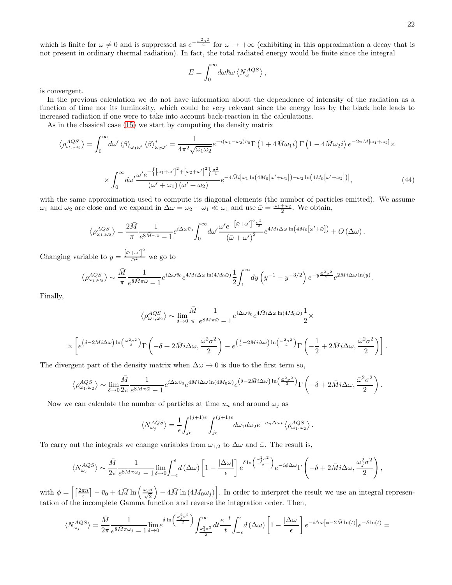which is finite for  $\omega \neq 0$  and is suppressed as  $e^{-\frac{\omega^2 \sigma^2}{2}}$  for  $\omega \rightarrow +\infty$  (exhibiting in this approximation a decay that is not present in ordinary thermal radiation). In fact, the total radiated energy would be finite since the integral

$$
E = \int_0^\infty d\omega \hbar \omega \left\langle N_\omega^{AQS} \right\rangle,
$$

is convergent.

In the previous calculation we do not have information about the dependence of intensity of the radiation as a function of time nor its luminosity, which could be very relevant since the energy loss by the black hole leads to increased radiation if one were to take into account back-reaction in the calculations.

As in the classical case [\(15\)](#page-6-0) we start by computing the density matrix

$$
\langle \rho_{\omega_1,\omega_2}^{AGS} \rangle = \int_0^\infty d\omega' \langle \beta \rangle_{\omega_1 \omega'} \langle \beta \rangle_{\omega_2 \omega'}^* = \frac{1}{4\pi^2 \sqrt{\omega_1 \omega_2}} e^{-i(\omega_1 - \omega_2)\bar{v}_0} \Gamma \left( 1 + 4\bar{M}\omega_1 i \right) \Gamma \left( 1 - 4\bar{M}\omega_2 i \right) e^{-2\pi \bar{M}[\omega_1 + \omega_2]} \times
$$

$$
\times \int_0^\infty d\omega' \frac{\omega' e^{-\left\{ \left[ \omega_1 + \omega' \right]^2 + \left[ \omega_2 + \omega' \right]^2 \right\} \frac{\sigma^2}{4}}{(\omega' + \omega_1)(\omega' + \omega_2)} e^{-4\bar{M}i[\omega_1 \ln(4M_0[\omega' + \omega_1]) - \omega_2 \ln(4M_0[\omega' + \omega_2])]}
$$
(44)

with the same approximation used to compute its diagonal elements (the number of particles emitted). We assume  $ω_1$  and  $ω_2$  are close and we expand in  $Δω = ω_2 - ω_1 \ll ω_1$  and use  $\bar{ω} = \frac{ω_1 + ω_2}{2}$ . We obtain,

<span id="page-22-0"></span>
$$
\left\langle \rho_{\omega_1,\omega_2}^{AQS} \right\rangle = \frac{2\bar{M}}{\pi} \frac{1}{e^{8\bar{M}\pi\bar{\omega}} - 1} e^{i\Delta\omega\bar{v}_0} \int_0^\infty d\omega' \frac{\omega' e^{-\left[\bar{\omega} + \omega'\right]^2 \frac{\sigma^2}{2}}}{\left(\bar{\omega} + \omega'\right)^2} e^{4\bar{M}i\Delta\omega \ln\left(4M_0\left[\omega' + \bar{\omega}\right]\right)} + O\left(\Delta\omega\right).
$$

Changing variable to  $y = \frac{[\bar{\omega} + \omega']^2}{\bar{\omega}^2}$  $rac{1}{\bar{\omega}^2}$  we go to

$$
\left\langle \rho^{AQS}_{\omega_1,\omega_2}\right\rangle \sim \frac{\bar{M}}{\pi} \frac{1}{e^{8\bar{M}\pi\bar{\omega}}-1} e^{i\Delta\omega\bar{v}_0} e^{4\bar{M}i\Delta\omega\ln(4M_0\bar{\omega})} \frac{1}{2}\! \int_1^\infty \! dy \left( y^{-1} - y^{-3/2} \right) e^{-y\frac{\bar{\omega}^2\sigma^2}{2}} e^{2\bar{M}i\Delta\omega\ln(y)}.
$$

Finally,

$$
\left\langle \rho_{\omega_1,\omega_2}^{AQS} \right\rangle \sim \lim_{\delta \to 0} \frac{\bar{M}}{\pi} \frac{1}{e^{8\bar{M}\pi \bar{\omega}}-1} e^{i\Delta \omega \bar{v}_0} e^{4\bar{M}i\Delta \omega \ln(4M_0 \bar{\omega})} \frac{1}{2} \times \\\times \left[ e^{\left(\delta - 2\bar{M}i\Delta \omega\right) \ln\left(\frac{\bar{\omega}^2 \sigma^2}{2}\right)} \Gamma\left(-\delta + 2\bar{M}i\Delta \omega, \frac{\bar{\omega}^2 \sigma^2}{2}\right) - e^{\left(\frac{1}{2} - 2\bar{M}i\Delta \omega\right) \ln\left(\frac{\bar{\omega}^2 \sigma^2}{2}\right)} \Gamma\left(-\frac{1}{2} + 2\bar{M}i\Delta \omega, \frac{\bar{\omega}^2 \sigma^2}{2}\right) \right].
$$

The divergent part of the density matrix when  $\Delta\omega \to 0$  is due to the first term so,

$$
\left\langle \rho_{\omega_1,\omega_2}^{AQS} \right\rangle \sim \lim_{\delta \to 0} \frac{\bar{M}}{2\pi} \frac{1}{e^{8\bar{M}\pi\bar{\omega}}-1} e^{i\Delta\omega\bar{v}_0} e^{4M i\Delta\omega\ln(4M_0\bar{\omega})} e^{\left(\delta - 2\bar{M}i\Delta\omega\right)\ln\left(\frac{\bar{\omega}^2\sigma^2}{2}\right)} \Gamma\left(-\delta + 2\bar{M}i\Delta\omega,\frac{\bar{\omega}^2\sigma^2}{2}\right).
$$

Now we can calculate the number of particles at time  $u_n$  and around  $\omega_j$  as

$$
\langle N_{\omega_j}^{AQS} \rangle = \frac{1}{\epsilon} \int_{j\epsilon}^{(j+1)\epsilon} \int_{j\epsilon}^{(j+1)\epsilon} d\omega_1 d\omega_2 e^{-u_n \Delta \omega i} \langle \rho_{\omega_1, \omega_2}^{AQS} \rangle.
$$

To carry out the integrals we change variables from  $\omega_{1,2}$  to  $\Delta\omega$  and  $\bar{\omega}$ . The result is,

$$
\langle N_{\omega_j}^{AQS} \rangle \sim \frac{\bar{M}}{2\pi} \frac{1}{e^{8\bar{M}\pi\omega_j} - 1} \lim_{\delta \to 0} \int_{-\epsilon}^{\epsilon} d\left(\Delta \omega\right) \left[1 - \frac{|\Delta \omega|}{\epsilon}\right] e^{\delta \ln\left(\frac{\omega_j^2 \sigma^2}{2}\right)} e^{-i\phi \Delta \omega} \Gamma\left(-\delta + 2\bar{M}i\Delta \omega, \frac{\omega_j^2 \sigma^2}{2}\right),
$$

with  $\phi = \left[ \left[ \frac{2\pi n}{\epsilon} \right] - \bar{v}_0 + 4\bar{M} \ln \left( \frac{\omega_j \sigma}{\sqrt{2}} \right) \right]$  $\Big(-4\bar{M}\ln\left(4M_0\omega_j\right)\Big]$ . In order to interpret the result we use an integral representation of the incomplete Gamma function and reverse the integration order. Then,

$$
\langle N_{\omega_j}^{AQS} \rangle = \frac{\bar{M}}{2\pi} \frac{1}{e^{8\bar{M}\pi\omega_j} - 1} \lim_{\delta \to 0} e^{\delta \ln\left(\frac{\omega_j^2 \sigma^2}{2}\right)} \int_{\frac{\omega_j^2 \sigma^2}{2}}^{\infty} dt \frac{e^{-t}}{t} \int_{-\epsilon}^{\epsilon} d(\Delta \omega) \left[1 - \frac{|\Delta \omega|}{\epsilon}\right] e^{-i\Delta \omega \left[\phi - 2\bar{M}\ln(t)\right]} e^{-\delta \ln(t)} =
$$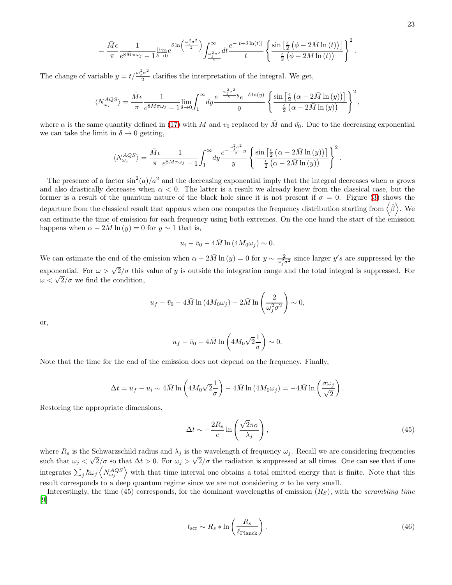$$
= \frac{\bar{M}\epsilon}{\pi} \frac{1}{e^{8\bar{M}\pi\omega_j} - 1} \lim_{\delta \to 0} e^{\delta \ln \left(\frac{\omega_j^2 \sigma^2}{2}\right)} \int_{\frac{\omega_j^2 \sigma^2}{2}}^{\infty} dt \frac{e^{-\left[t + \delta \ln(t)\right]}}{t} \left\{ \frac{\sin \left[\frac{\epsilon}{2} \left(\phi - 2\bar{M} \ln(t)\right)\right]}{\frac{\epsilon}{2} \left(\phi - 2\bar{M} \ln(t)\right)}\right\}^2.
$$

The change of variable  $y = t / \frac{\omega_j^2 \sigma^2}{2}$  $\frac{10}{2}$  clarifies the interpretation of the integral. We get,

$$
\langle N_{\omega_j}^{AQS} \rangle = \frac{\bar{M}\epsilon}{\pi} \frac{1}{e^{8\bar{M}\pi\omega_j} - 1} \lim_{\delta \to 0} \int_1^\infty dy \frac{e^{-\frac{\omega_j^2 \sigma^2}{2}y} e^{-\delta \ln(y)}}{y} \left\{ \frac{\sin\left[\frac{\epsilon}{2}\left(\alpha - 2\bar{M}\ln(y)\right)\right]}{\frac{\epsilon}{2}\left(\alpha - 2\bar{M}\ln(y)\right)} \right\}^2,
$$

where  $\alpha$  is the same quantity defined in [\(17\)](#page-7-0) with M and  $v_0$  replaced by M and  $\bar{v_0}$ . Due to the decreasing exponential we can take the limit in  $\delta \to 0$  getting,

$$
\langle N_{\omega_j}^{AQS} \rangle = \frac{\bar{M}\epsilon}{\pi} \frac{1}{e^{8\bar{M}\pi\omega_j} - 1} \int_1^\infty dy \frac{e^{-\frac{\omega_j^2\sigma^2}{2}y}}{y} \left\{ \frac{\sin\left[\frac{\epsilon}{2}\left(\alpha - 2\bar{M}\ln\left(y\right)\right)\right]}{\frac{\epsilon}{2}\left(\alpha - 2\bar{M}\ln\left(y\right)\right)}\right\}^2.
$$

The presence of a factor  $\sin^2(a)/a^2$  and the decreasing exponential imply that the integral decreases when  $\alpha$  grows and also drastically decreases when  $\alpha < 0$ . The latter is a result we already knew from the classical case, but the former is a result of the quantum nature of the black hole since it is not present if  $\sigma = 0$ . Figure [\(3\)](#page-14-0) shows the departure from the classical result that appears when one computes the frequency distribution starting from  $\langle \hat{\beta} \rangle$ . We can estimate the time of emission for each frequency using both extremes. On the one hand the start of the emission happens when  $\alpha - 2M\ln(y) = 0$  for  $y \sim 1$  that is,

$$
u_i - \bar{v}_0 - 4\bar{M} \ln(4M_0\omega_j) \sim 0.
$$

We can estimate the end of the emission when  $\alpha - 2\overline{M} \ln(y) = 0$  for  $y \sim \frac{2}{\omega_j^2 \sigma^2}$  since larger y's are suppressed by the exponential. For  $\omega > \sqrt{2}/\sigma$  this value of y is outside the integration range and the total integral is suppressed. For  $\omega < \sqrt{2}/\sigma$  we find the condition,

$$
u_f - \bar{v}_0 - 4\bar{M} \ln(4M_0\omega_j) - 2\bar{M} \ln\left(\frac{2}{\omega_j^2 \sigma^2}\right) \sim 0,
$$

or,

$$
u_f - \bar{v}_0 - 4\bar{M} \ln \left( 4M_0 \sqrt{2} \frac{1}{\sigma} \right) \sim 0.
$$

Note that the time for the end of the emission does not depend on the frequency. Finally,

$$
\Delta t = u_f - u_i \sim 4\bar{M} \ln \left( 4M_0 \sqrt{2} \frac{1}{\sigma} \right) - 4\bar{M} \ln \left( 4M_0 \omega_j \right) = -4\bar{M} \ln \left( \frac{\sigma \omega_j}{\sqrt{2}} \right).
$$

Restoring the appropriate dimensions,

$$
\Delta t \sim -\frac{2R_s}{c} \ln \left( \frac{\sqrt{2}\pi\sigma}{\lambda_j} \right),\tag{45}
$$

where  $R_s$  is the Schwarzschild radius and  $\lambda_i$  is the wavelength of frequency  $\omega_i$ . Recall we are considering frequencies such that  $\omega_j < \sqrt{2}/\sigma$  so that  $\Delta t > 0$ . For  $\omega_j > \sqrt{2}/\sigma$  the radiation is suppressed at all times. One can see that if one integrates  $\sum_j \hbar \omega_j \langle N_{\omega_j}^{AQS} \rangle$  with that time interval one obtains a total emitted energy that is finite. Note that this result corresponds to a deep quantum regime since we are not considering  $\sigma$  to be very small.

Interestingly, the time (45) corresponds, for the dominant wavelengths of emission  $(R<sub>S</sub>)$ , with the *scrambling time* [\[9\]](#page-24-9)

$$
t_{\rm scr} \sim R_s * \ln\left(\frac{R_s}{\ell_{\rm Planck}}\right). \tag{46}
$$